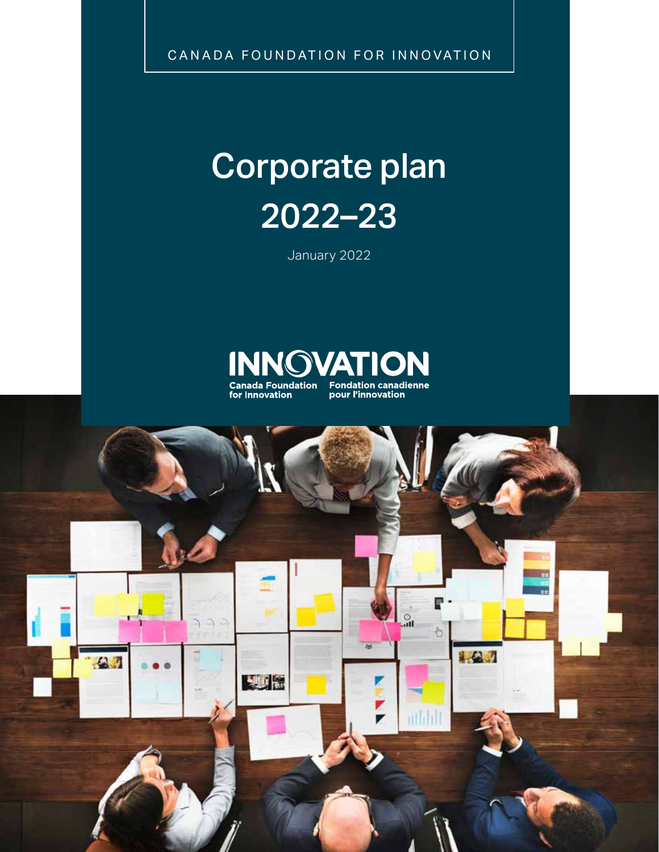CANADA FOUNDATION FOR INNOVATION

# Corporate plan 2022–23

January 2022



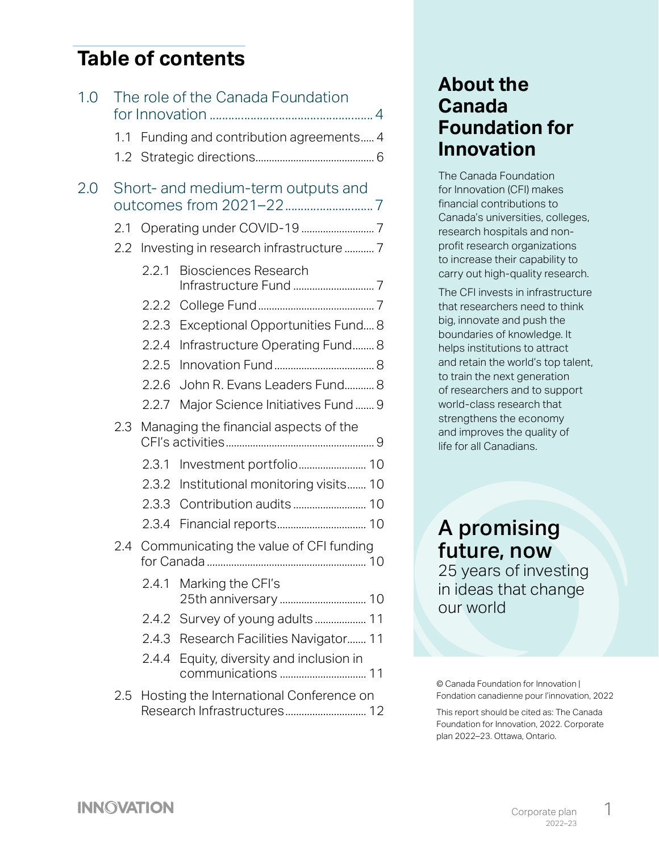#### **Table of contents**

| 1.0 |               |       | The role of the Canada Foundation               |
|-----|---------------|-------|-------------------------------------------------|
|     | 1.1           |       | Funding and contribution agreements 4           |
|     |               |       |                                                 |
| 2.0 |               |       | Short- and medium-term outputs and              |
|     | 2.1           |       |                                                 |
|     | $2.2^{\circ}$ |       | Investing in research infrastructure  7         |
|     |               | 2.2.1 | <b>Biosciences Research</b>                     |
|     |               |       |                                                 |
|     |               |       | 2.2.3 Exceptional Opportunities Fund 8          |
|     |               | 2.2.4 | Infrastructure Operating Fund 8                 |
|     |               | 2.2.5 |                                                 |
|     |               | 2.2.6 | John R. Evans Leaders Fund 8                    |
|     |               | 2.2.7 | Major Science Initiatives Fund 9                |
|     | 2.3           |       | Managing the financial aspects of the           |
|     |               |       |                                                 |
|     |               | 2.3.1 |                                                 |
|     |               |       | 2.3.2 Institutional monitoring visits 10        |
|     |               | 2.3.3 |                                                 |
|     |               |       |                                                 |
|     |               |       | 2.4 Communicating the value of CFI funding      |
|     |               |       | 2.4.1 Marking the CFI's<br>25th anniversary  10 |
|     |               |       | 2.4.2 Survey of young adults  11                |
|     |               |       | 2.4.3 Research Facilities Navigator 11          |
|     |               |       | 2.4.4 Equity, diversity and inclusion in        |
|     | 2.5           |       | Hosting the International Conference on         |

#### **About the Canada Foundation for Innovation**

The Canada Foundation for Innovation (CFI) makes financial contributions to Canada's universities, colleges, research hospitals and nonprofit research organizations to increase their capability to carry out high-quality research.

The CFI invests in infrastructure that researchers need to think big, innovate and push the boundaries of knowledge. It helps institutions to attract and retain the world's top talent, to train the next generation of researchers and to support world-class research that strengthens the economy and improves the quality of life for all Canadians.

#### A promising future, now 25 years of investing

in ideas that change our world

© Canada Foundation for Innovation | Fondation canadienne pour l'innovation, 2022

This report should be cited as: The Canada Foundation for Innovation, 2022. Corporate plan 2022–23. Ottawa, Ontario.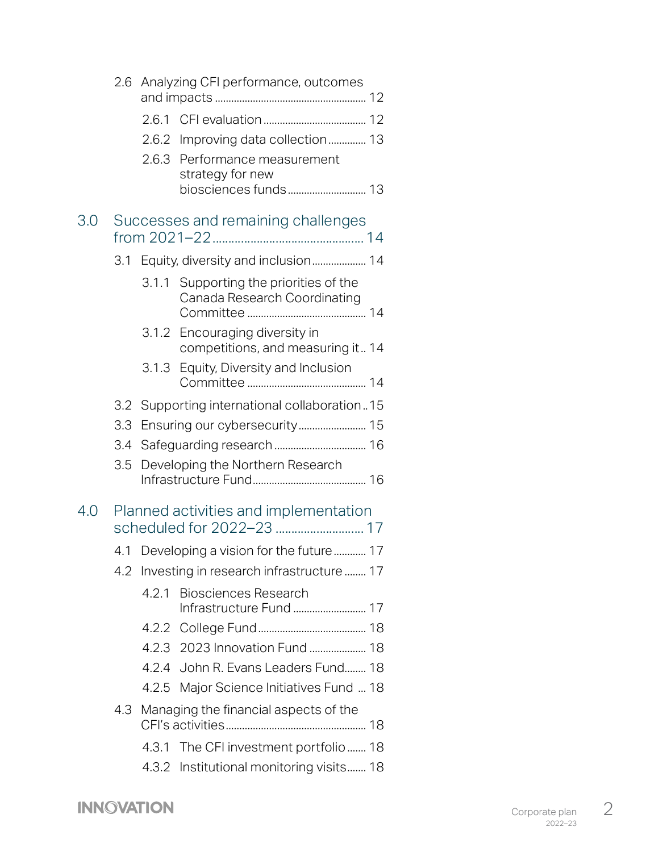|     |     |       | 2.6 Analyzing CFI performance, outcomes                                |
|-----|-----|-------|------------------------------------------------------------------------|
|     |     | 2.6.1 |                                                                        |
|     |     |       | 2.6.2 Improving data collection 13                                     |
|     |     | 2.6.3 | Performance measurement<br>strategy for new                            |
|     |     |       | biosciences funds 13                                                   |
| 3.0 |     |       | Successes and remaining challenges                                     |
|     |     |       | 3.1 Equity, diversity and inclusion 14                                 |
|     |     |       | 3.1.1 Supporting the priorities of the<br>Canada Research Coordinating |
|     |     |       | 3.1.2 Encouraging diversity in<br>competitions, and measuring it 14    |
|     |     | 3.1.3 | Equity, Diversity and Inclusion                                        |
|     |     |       | 3.2 Supporting international collaboration15                           |
|     | 3.3 |       |                                                                        |
|     | 3.4 |       |                                                                        |
|     | 3.5 |       | Developing the Northern Research                                       |
| 4.0 |     |       | Planned activities and implementation                                  |
|     | 4.1 |       | Developing a vision for the future 17                                  |
|     |     |       | 4.2 Investing in research infrastructure  17                           |
|     |     | 4.2.1 | <b>Biosciences Research</b>                                            |
|     |     |       |                                                                        |
|     |     |       | 4.2.3 2023 Innovation Fund  18                                         |
|     |     |       | 4.2.4 John R. Evans Leaders Fund 18                                    |
|     |     |       | 4.2.5 Major Science Initiatives Fund  18                               |
|     | 4.3 |       | Managing the financial aspects of the                                  |
|     |     |       | 4.3.1 The CFI investment portfolio 18                                  |
|     |     |       | 4.3.2 Institutional monitoring visits 18                               |

**INNOVATION**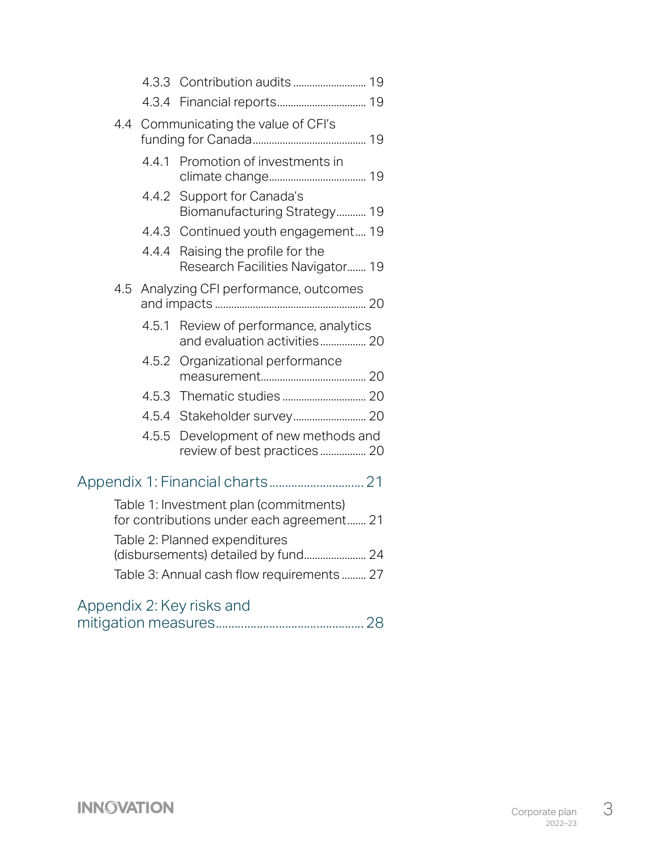|     |       | 4.4 Communicating the value of CFI's                                                |
|-----|-------|-------------------------------------------------------------------------------------|
|     | 4.4.1 | Promotion of investments in                                                         |
|     | 4.4.2 | Support for Canada's<br>Biomanufacturing Strategy 19                                |
|     |       | 4.4.3 Continued youth engagement 19                                                 |
|     | 4.4.4 | Raising the profile for the<br>Research Facilities Navigator 19                     |
| 4.5 |       | Analyzing CFI performance, outcomes                                                 |
|     | 4.5.1 | Review of performance, analytics<br>and evaluation activities 20                    |
|     | 4.5.2 | Organizational performance                                                          |
|     |       |                                                                                     |
|     |       |                                                                                     |
|     | 4.5.5 | Development of new methods and<br>review of best practices 20                       |
|     |       |                                                                                     |
|     |       | Table 1: Investment plan (commitments)<br>for contributions under each agreement 21 |
|     |       | Table 2: Planned expenditures                                                       |
|     |       | (disbursements) detailed by fund 24                                                 |
|     |       | Table 3: Annual cash flow requirements 27                                           |
|     |       | Appendix 2: Key risks and                                                           |
|     |       |                                                                                     |

[mitigation measures...............................................](#page-28-0) 28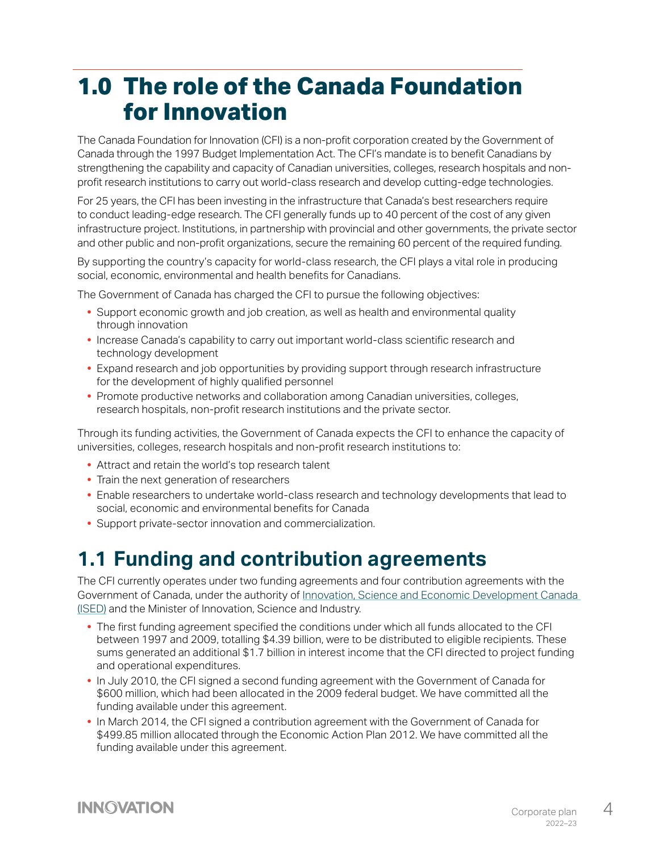# <span id="page-4-0"></span>**1.0 The role of the Canada Foundation for Innovation**

The Canada Foundation for Innovation (CFI) is a non-profit corporation created by the Government of Canada through the 1997 Budget Implementation Act. The CFI's mandate is to benefit Canadians by strengthening the capability and capacity of Canadian universities, colleges, research hospitals and nonprofit research institutions to carry out world-class research and develop cutting-edge technologies.

For 25 years, the CFI has been investing in the infrastructure that Canada's best researchers require to conduct leading-edge research. The CFI generally funds up to 40 percent of the cost of any given infrastructure project. Institutions, in partnership with provincial and other governments, the private sector and other public and non-profit organizations, secure the remaining 60 percent of the required funding.

By supporting the country's capacity for world-class research, the CFI plays a vital role in producing social, economic, environmental and health benefits for Canadians.

The Government of Canada has charged the CFI to pursue the following objectives:

- **•** Support economic growth and job creation, as well as health and environmental quality through innovation
- **•** Increase Canada's capability to carry out important world-class scientific research and technology development
- **•** Expand research and job opportunities by providing support through research infrastructure for the development of highly qualified personnel
- **•** Promote productive networks and collaboration among Canadian universities, colleges, research hospitals, non-profit research institutions and the private sector.

Through its funding activities, the Government of Canada expects the CFI to enhance the capacity of universities, colleges, research hospitals and non-profit research institutions to:

- **•** Attract and retain the world's top research talent
- **•** Train the next generation of researchers
- **•** Enable researchers to undertake world-class research and technology developments that lead to social, economic and environmental benefits for Canada
- **•** Support private-sector innovation and commercialization.

#### **1.1 Funding and contribution agreements**

The CFI currently operates under two funding agreements and four contribution agreements with the Government of Canada, under the authority of [Innovation, Science and Economic Development Canada](https://www.ic.gc.ca/eic/site/icgc.nsf/eng/home)  [\(ISED\)](https://www.ic.gc.ca/eic/site/icgc.nsf/eng/home) and the Minister of Innovation, Science and Industry.

- **•** The first funding agreement specified the conditions under which all funds allocated to the CFI between 1997 and 2009, totalling \$4.39 billion, were to be distributed to eligible recipients. These sums generated an additional \$1.7 billion in interest income that the CFI directed to project funding and operational expenditures.
- **•** In July 2010, the CFI signed a second funding agreement with the Government of Canada for \$600 million, which had been allocated in the 2009 federal budget. We have committed all the funding available under this agreement.
- **•** In March 2014, the CFI signed a contribution agreement with the Government of Canada for \$499.85 million allocated through the Economic Action Plan 2012. We have committed all the funding available under this agreement.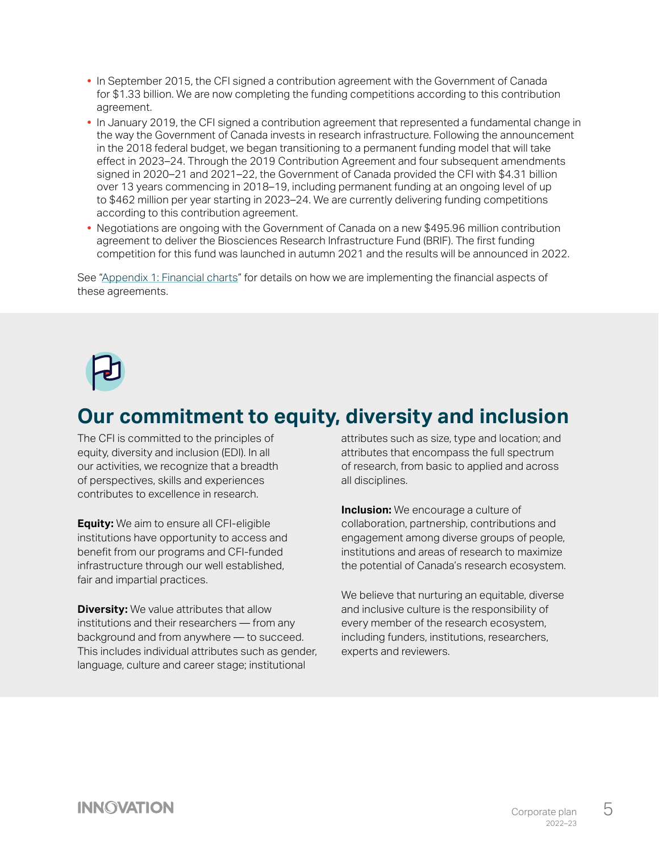- **•** In September 2015, the CFI signed a contribution agreement with the Government of Canada for \$1.33 billion. We are now completing the funding competitions according to this contribution agreement.
- **•** In January 2019, the CFI signed a contribution agreement that represented a fundamental change in the way the Government of Canada invests in research infrastructure. Following the announcement in the 2018 federal budget, we began transitioning to a permanent funding model that will take effect in 2023–24. Through the 2019 Contribution Agreement and four subsequent amendments signed in 2020–21 and 2021–22, the Government of Canada provided the CFI with \$4.31 billion over 13 years commencing in 2018–19, including permanent funding at an ongoing level of up to \$462 million per year starting in 2023–24. We are currently delivering funding competitions according to this contribution agreement.
- **•** Negotiations are ongoing with the Government of Canada on a new \$495.96 million contribution agreement to deliver the Biosciences Research Infrastructure Fund (BRIF). The first funding competition for this fund was launched in autumn 2021 and the results will be announced in 2022.

See ["Appendix 1: Financial charts](#page-21-1)" for details on how we are implementing the financial aspects of these agreements.



#### **Our commitment to equity, diversity and inclusion**

The CFI is committed to the principles of equity, diversity and inclusion (EDI). In all our activities, we recognize that a breadth of perspectives, skills and experiences contributes to excellence in research.

**Equity:** We aim to ensure all CFI-eligible institutions have opportunity to access and benefit from our programs and CFI-funded infrastructure through our well established, fair and impartial practices.

**Diversity:** We value attributes that allow institutions and their researchers — from any background and from anywhere — to succeed. This includes individual attributes such as gender, language, culture and career stage; institutional

attributes such as size, type and location; and attributes that encompass the full spectrum of research, from basic to applied and across all disciplines.

**Inclusion:** We encourage a culture of collaboration, partnership, contributions and engagement among diverse groups of people, institutions and areas of research to maximize the potential of Canada's research ecosystem.

We believe that nurturing an equitable, diverse and inclusive culture is the responsibility of every member of the research ecosystem, including funders, institutions, researchers, experts and reviewers.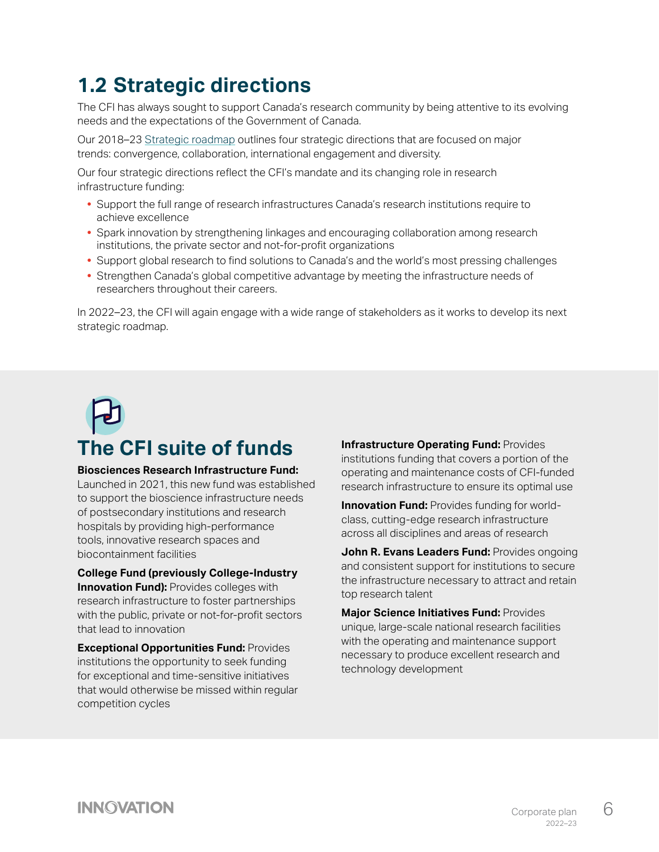# <span id="page-6-0"></span>**1.2 Strategic directions**

The CFI has always sought to support Canada's research community by being attentive to its evolving needs and the expectations of the Government of Canada.

Our 2018–23 [Strategic roadmap o](https://www.innovation.ca/sites/default/files/2021-09/CFI-Strategic-roadmap-2018-2023.pdf)utlines four strategic directions that are focused on major trends: convergence, collaboration, international engagement and diversity.

Our four strategic directions reflect the CFI's mandate and its changing role in research infrastructure funding:

- **•** Support the full range of research infrastructures Canada's research institutions require to achieve excellence
- **•** Spark innovation by strengthening linkages and encouraging collaboration among research institutions, the private sector and not-for-profit organizations
- **•** Support global research to find solutions to Canada's and the world's most pressing challenges
- **•** Strengthen Canada's global competitive advantage by meeting the infrastructure needs of researchers throughout their careers.

In 2022–23, the CFI will again engage with a wide range of stakeholders as it works to develop its next strategic roadmap.

# **The CFI suite of funds**

#### **Biosciences Research Infrastructure Fund:**

Launched in 2021, this new fund was established to support the bioscience infrastructure needs of postsecondary institutions and research hospitals by providing high-performance tools, innovative research spaces and biocontainment facilities

**College Fund (previously College-Industry Innovation Fund):** Provides colleges with research infrastructure to foster partnerships with the public, private or not-for-profit sectors that lead to innovation

**Exceptional Opportunities Fund:** Provides institutions the opportunity to seek funding for exceptional and time-sensitive initiatives that would otherwise be missed within regular competition cycles

**Infrastructure Operating Fund: Provides** institutions funding that covers a portion of the operating and maintenance costs of CFI-funded research infrastructure to ensure its optimal use

**Innovation Fund:** Provides funding for worldclass, cutting-edge research infrastructure across all disciplines and areas of research

**John R. Evans Leaders Fund: Provides ongoing** and consistent support for institutions to secure the infrastructure necessary to attract and retain top research talent

**Major Science Initiatives Fund:** Provides unique, large-scale national research facilities with the operating and maintenance support necessary to produce excellent research and technology development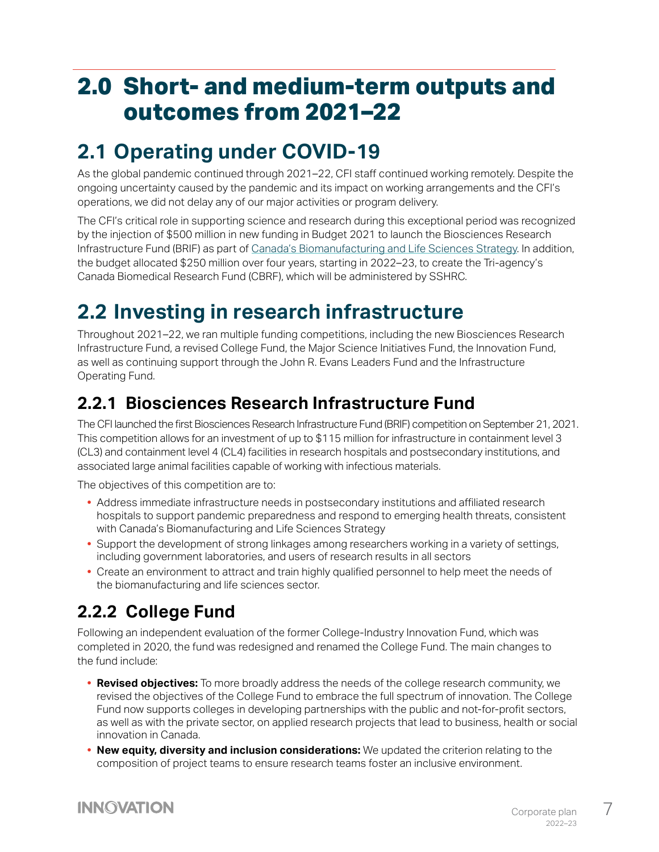# <span id="page-7-0"></span>**2.0 Short- and medium-term outputs and outcomes from 2021–22**

## **2.1 Operating under COVID-19**

As the global pandemic continued through 2021–22, CFI staff continued working remotely. Despite the ongoing uncertainty caused by the pandemic and its impact on working arrangements and the CFI's operations, we did not delay any of our major activities or program delivery.

The CFI's critical role in supporting science and research during this exceptional period was recognized by the injection of \$500 million in new funding in Budget 2021 to launch the Biosciences Research Infrastructure Fund (BRIF) as part of [Canada's Biomanufacturing and Life Sciences Strategy](https://www.ic.gc.ca/eic/site/151.nsf/eng/00019.html). In addition, the budget allocated \$250 million over four years, starting in 2022–23, to create the Tri-agency's Canada Biomedical Research Fund (CBRF), which will be administered by SSHRC.

# **2.2 Investing in research infrastructure**

Throughout 2021–22, we ran multiple funding competitions, including the new Biosciences Research Infrastructure Fund, a revised College Fund, the Major Science Initiatives Fund, the Innovation Fund, as well as continuing support through the John R. Evans Leaders Fund and the Infrastructure Operating Fund.

#### **2.2.1 Biosciences Research Infrastructure Fund**

The CFI launched the first Biosciences Research Infrastructure Fund (BRIF) competition on September 21, 2021. This competition allows for an investment of up to \$115 million for infrastructure in containment level 3 (CL3) and containment level 4 (CL4) facilities in research hospitals and postsecondary institutions, and associated large animal facilities capable of working with infectious materials.

The objectives of this competition are to:

- **•** Address immediate infrastructure needs in postsecondary institutions and affiliated research hospitals to support pandemic preparedness and respond to emerging health threats, consistent with Canada's Biomanufacturing and Life Sciences Strategy
- **•** Support the development of strong linkages among researchers working in a variety of settings, including government laboratories, and users of research results in all sectors
- **•** Create an environment to attract and train highly qualified personnel to help meet the needs of the biomanufacturing and life sciences sector.

#### **2.2.2 College Fund**

Following an independent evaluation of the former College-Industry Innovation Fund, which was completed in 2020, the fund was redesigned and renamed the College Fund. The main changes to the fund include:

- **• Revised objectives:** To more broadly address the needs of the college research community, we revised the objectives of the College Fund to embrace the full spectrum of innovation. The College Fund now supports colleges in developing partnerships with the public and not-for-profit sectors, as well as with the private sector, on applied research projects that lead to business, health or social innovation in Canada.
- **• New equity, diversity and inclusion considerations:** We updated the criterion relating to the composition of project teams to ensure research teams foster an inclusive environment.

#### **INNOVATION**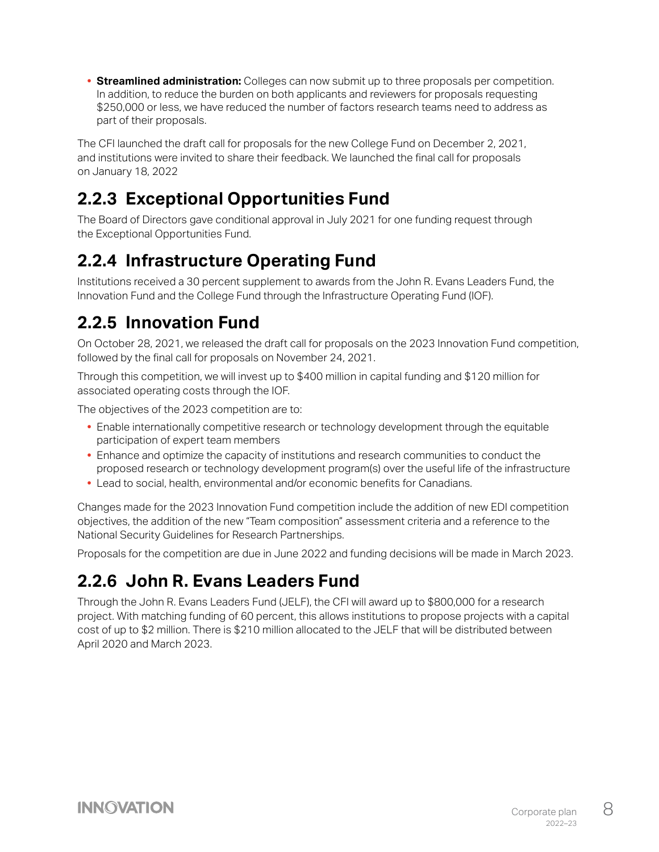<span id="page-8-0"></span>**• Streamlined administration:** Colleges can now submit up to three proposals per competition. In addition, to reduce the burden on both applicants and reviewers for proposals requesting \$250,000 or less, we have reduced the number of factors research teams need to address as part of their proposals.

The CFI launched the draft call for proposals for the new College Fund on December 2, 2021, and institutions were invited to share their feedback. We launched the final call for proposals on January 18, 2022

#### **2.2.3 Exceptional Opportunities Fund**

The Board of Directors gave conditional approval in July 2021 for one funding request through the Exceptional Opportunities Fund.

#### **2.2.4 Infrastructure Operating Fund**

Institutions received a 30 percent supplement to awards from the John R. Evans Leaders Fund, the Innovation Fund and the College Fund through the Infrastructure Operating Fund (IOF).

#### **2.2.5 Innovation Fund**

On October 28, 2021, we released the draft call for proposals on the 2023 Innovation Fund competition, followed by the final call for proposals on November 24, 2021.

Through this competition, we will invest up to \$400 million in capital funding and \$120 million for associated operating costs through the IOF.

The objectives of the 2023 competition are to:

- **•** Enable internationally competitive research or technology development through the equitable participation of expert team members
- **•** Enhance and optimize the capacity of institutions and research communities to conduct the proposed research or technology development program(s) over the useful life of the infrastructure
- **•** Lead to social, health, environmental and/or economic benefits for Canadians.

Changes made for the 2023 Innovation Fund competition include the addition of new EDI competition objectives, the addition of the new "Team composition" assessment criteria and a reference to the National Security Guidelines for Research Partnerships.

Proposals for the competition are due in June 2022 and funding decisions will be made in March 2023.

#### **2.2.6 John R. Evans Leaders Fund**

Through the John R. Evans Leaders Fund (JELF), the CFI will award up to \$800,000 for a research project. With matching funding of 60 percent, this allows institutions to propose projects with a capital cost of up to \$2 million. There is \$210 million allocated to the JELF that will be distributed between April 2020 and March 2023.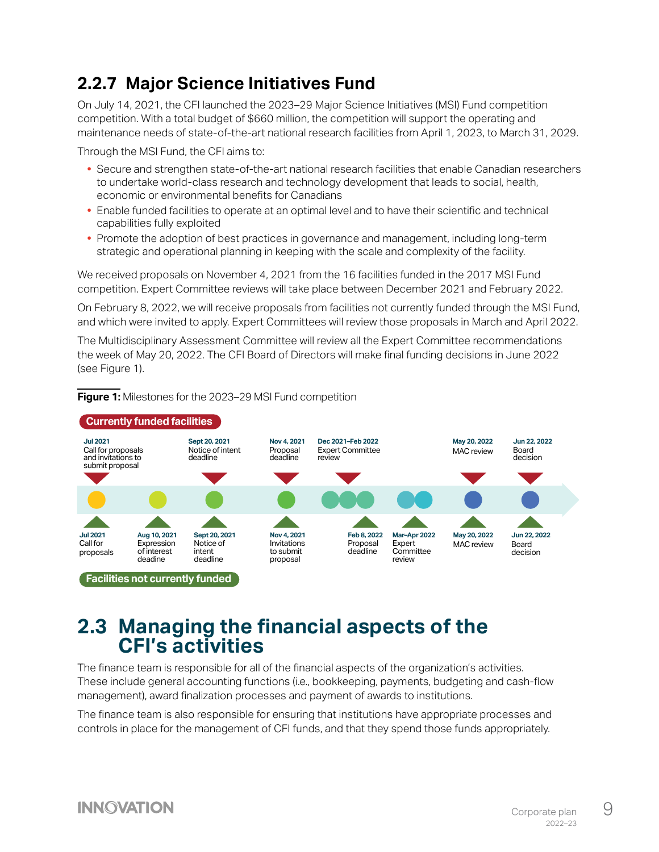#### <span id="page-9-0"></span>**2.2.7 Major Science Initiatives Fund**

On July 14, 2021, the CFI launched the 2023–29 Major Science Initiatives (MSI) Fund competition competition. With a total budget of \$660 million, the competition will support the operating and maintenance needs of state-of-the-art national research facilities from April 1, 2023, to March 31, 2029.

Through the MSI Fund, the CFI aims to:

- **•** Secure and strengthen state-of-the-art national research facilities that enable Canadian researchers to undertake world-class research and technology development that leads to social, health, economic or environmental benefits for Canadians
- **•** Enable funded facilities to operate at an optimal level and to have their scientific and technical capabilities fully exploited
- **•** Promote the adoption of best practices in governance and management, including long-term strategic and operational planning in keeping with the scale and complexity of the facility.

We received proposals on November 4, 2021 from the 16 facilities funded in the 2017 MSI Fund competition. Expert Committee reviews will take place between December 2021 and February 2022.

On February 8, 2022, we will receive proposals from facilities not currently funded through the MSI Fund, and which were invited to apply. Expert Committees will review those proposals in March and April 2022.

The Multidisciplinary Assessment Committee will review all the Expert Committee recommendations the week of May 20, 2022. The CFI Board of Directors will make final funding decisions in June 2022 (see Figure 1).

#### **Figure 1:** Milestones for the 2023–29 MSI Fund competition



#### **2.3 Managing the financial aspects of the CFI's activities**

The finance team is responsible for all of the financial aspects of the organization's activities. These include general accounting functions (i.e., bookkeeping, payments, budgeting and cash-flow management), award finalization processes and payment of awards to institutions.

The finance team is also responsible for ensuring that institutions have appropriate processes and controls in place for the management of CFI funds, and that they spend those funds appropriately.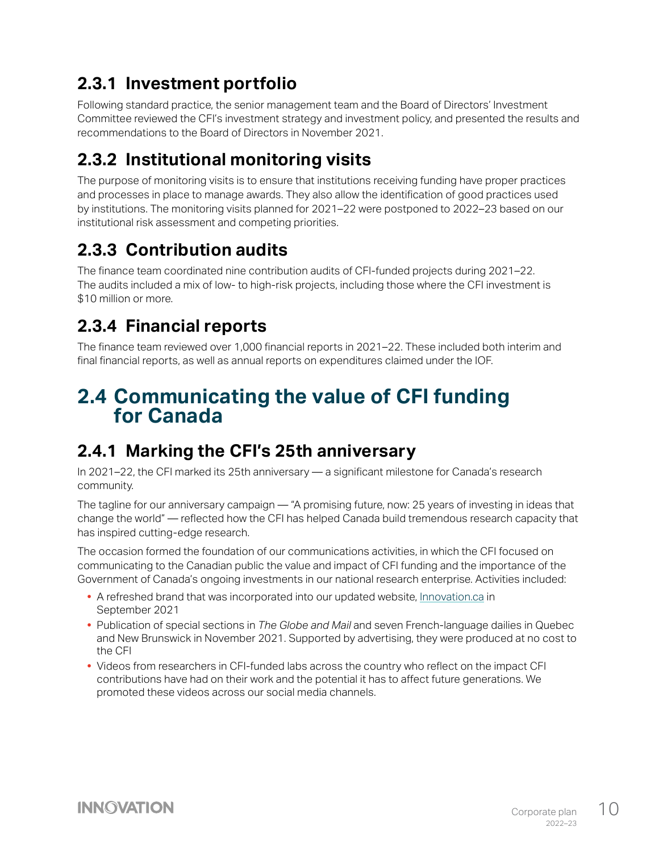#### <span id="page-10-0"></span>**2.3.1 Investment portfolio**

Following standard practice, the senior management team and the Board of Directors' Investment Committee reviewed the CFI's investment strategy and investment policy, and presented the results and recommendations to the Board of Directors in November 2021.

## **2.3.2 Institutional monitoring visits**

The purpose of monitoring visits is to ensure that institutions receiving funding have proper practices and processes in place to manage awards. They also allow the identification of good practices used by institutions. The monitoring visits planned for 2021–22 were postponed to 2022–23 based on our institutional risk assessment and competing priorities.

## **2.3.3 Contribution audits**

The finance team coordinated nine contribution audits of CFI-funded projects during 2021–22. The audits included a mix of low- to high-risk projects, including those where the CFI investment is \$10 million or more.

## **2.3.4 Financial reports**

The finance team reviewed over 1,000 financial reports in 2021–22. These included both interim and final financial reports, as well as annual reports on expenditures claimed under the IOF.

#### **2.4 Communicating the value of CFI funding for Canada**

#### **2.4.1 Marking the CFI's 25th anniversary**

In 2021–22, the CFI marked its 25th anniversary — a significant milestone for Canada's research community.

The tagline for our anniversary campaign — "A promising future, now: 25 years of investing in ideas that change the world" — reflected how the CFI has helped Canada build tremendous research capacity that has inspired cutting-edge research.

The occasion formed the foundation of our communications activities, in which the CFI focused on communicating to the Canadian public the value and impact of CFI funding and the importance of the Government of Canada's ongoing investments in our national research enterprise. Activities included:

- A refreshed brand that was incorporated into our updated website, *Innovation.ca* in September 2021
- **•** Publication of special sections in *The Globe and Mail* and seven French-language dailies in Quebec and New Brunswick in November 2021. Supported by advertising, they were produced at no cost to the CFI
- **•** Videos from researchers in CFI-funded labs across the country who reflect on the impact CFI contributions have had on their work and the potential it has to affect future generations. We promoted these videos across our social media channels.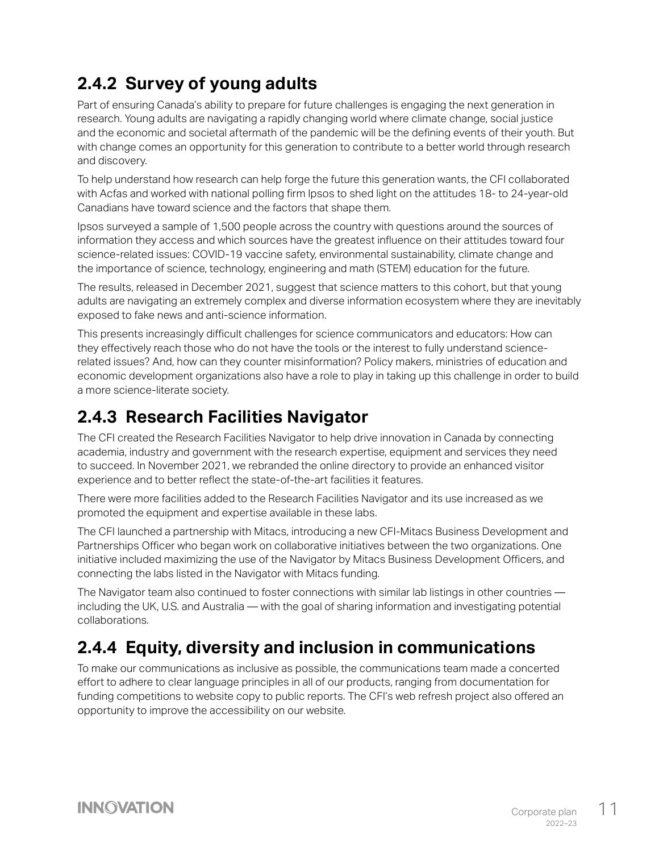#### <span id="page-11-0"></span>**2.4.2 Survey of young adults**

Part of ensuring Canada's ability to prepare for future challenges is engaging the next generation in research. Young adults are navigating a rapidly changing world where climate change, social justice and the economic and societal aftermath of the pandemic will be the defining events of their youth. But with change comes an opportunity for this generation to contribute to a better world through research and discovery.

To help understand how research can help forge the future this generation wants, the CFI collaborated with Acfas and worked with national polling firm Ipsos to shed light on the attitudes 18- to 24-year-old Canadians have toward science and the factors that shape them.

Ipsos surveyed a sample of 1,500 people across the country with questions around the sources of information they access and which sources have the greatest influence on their attitudes toward four science-related issues: COVID-19 vaccine safety, environmental sustainability, climate change and the importance of science, technology, engineering and math (STEM) education for the future.

The results, released in December 2021, suggest that science matters to this cohort, but that young adults are navigating an extremely complex and diverse information ecosystem where they are inevitably exposed to fake news and anti-science information.

This presents increasingly difficult challenges for science communicators and educators: How can they effectively reach those who do not have the tools or the interest to fully understand sciencerelated issues? And, how can they counter misinformation? Policy makers, ministries of education and economic development organizations also have a role to play in taking up this challenge in order to build a more science-literate society.

#### **2.4.3 Research Facilities Navigator**

The CFI created the Research Facilities Navigator to help drive innovation in Canada by connecting academia, industry and government with the research expertise, equipment and services they need to succeed. In November 2021, we rebranded the online directory to provide an enhanced visitor experience and to better reflect the state-of-the-art facilities it features.

There were more facilities added to the Research Facilities Navigator and its use increased as we promoted the equipment and expertise available in these labs.

The CFI launched a partnership with Mitacs, introducing a new CFI-Mitacs Business Development and Partnerships Officer who began work on collaborative initiatives between the two organizations. One initiative included maximizing the use of the Navigator by Mitacs Business Development Officers, and connecting the labs listed in the Navigator with Mitacs funding.

The Navigator team also continued to foster connections with similar lab listings in other countries including the UK, U.S. and Australia — with the goal of sharing information and investigating potential collaborations.

#### **2.4.4 Equity, diversity and inclusion in communications**

To make our communications as inclusive as possible, the communications team made a concerted effort to adhere to clear language principles in all of our products, ranging from documentation for funding competitions to website copy to public reports. The CFI's web refresh project also offered an opportunity to improve the accessibility on our website.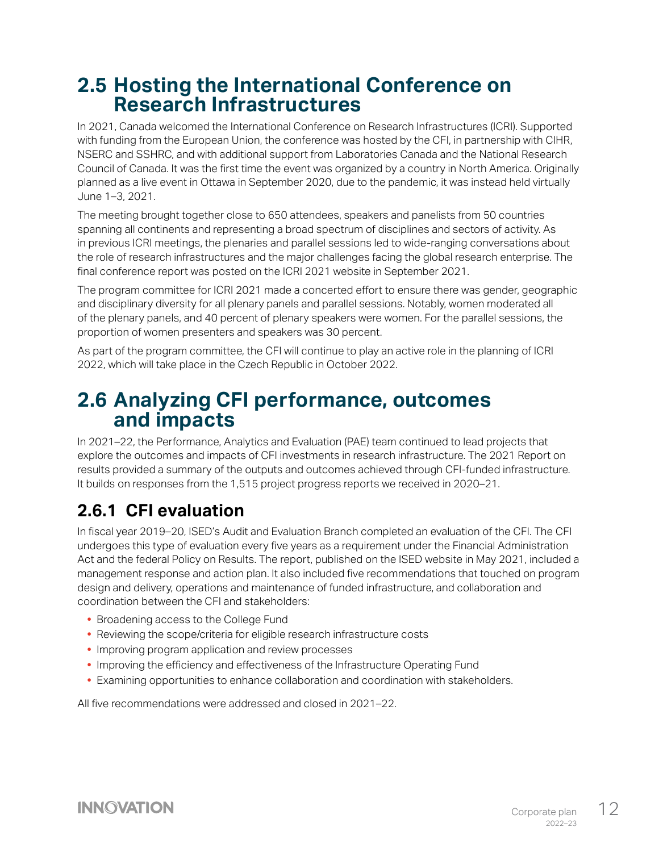#### <span id="page-12-0"></span>**2.5 Hosting the International Conference on Research Infrastructures**

In 2021, Canada welcomed the International Conference on Research Infrastructures (ICRI). Supported with funding from the European Union, the conference was hosted by the CFI, in partnership with CIHR, NSERC and SSHRC, and with additional support from Laboratories Canada and the National Research Council of Canada. It was the first time the event was organized by a country in North America. Originally planned as a live event in Ottawa in September 2020, due to the pandemic, it was instead held virtually June 1–3, 2021.

The meeting brought together close to 650 attendees, speakers and panelists from 50 countries spanning all continents and representing a broad spectrum of disciplines and sectors of activity. As in previous ICRI meetings, the plenaries and parallel sessions led to wide-ranging conversations about the role of research infrastructures and the major challenges facing the global research enterprise. The final conference report was posted on the ICRI 2021 website in September 2021.

The program committee for ICRI 2021 made a concerted effort to ensure there was gender, geographic and disciplinary diversity for all plenary panels and parallel sessions. Notably, women moderated all of the plenary panels, and 40 percent of plenary speakers were women. For the parallel sessions, the proportion of women presenters and speakers was 30 percent.

As part of the program committee, the CFI will continue to play an active role in the planning of ICRI 2022, which will take place in the Czech Republic in October 2022.

#### **2.6 Analyzing CFI performance, outcomes and impacts**

In 2021–22, the Performance, Analytics and Evaluation (PAE) team continued to lead projects that explore the outcomes and impacts of CFI investments in research infrastructure. The 2021 Report on results provided a summary of the outputs and outcomes achieved through CFI-funded infrastructure. It builds on responses from the 1,515 project progress reports we received in 2020–21.

## **2.6.1 CFI evaluation**

In fiscal year 2019–20, ISED's Audit and Evaluation Branch completed an evaluation of the CFI. The CFI undergoes this type of evaluation every five years as a requirement under the Financial Administration Act and the federal Policy on Results. The report, published on the ISED website in May 2021, included a management response and action plan. It also included five recommendations that touched on program design and delivery, operations and maintenance of funded infrastructure, and collaboration and coordination between the CFI and stakeholders:

- **•** Broadening access to the College Fund
- **•** Reviewing the scope/criteria for eligible research infrastructure costs
- **•** Improving program application and review processes
- **•** Improving the efficiency and effectiveness of the Infrastructure Operating Fund
- **•** Examining opportunities to enhance collaboration and coordination with stakeholders.

All five recommendations were addressed and closed in 2021–22.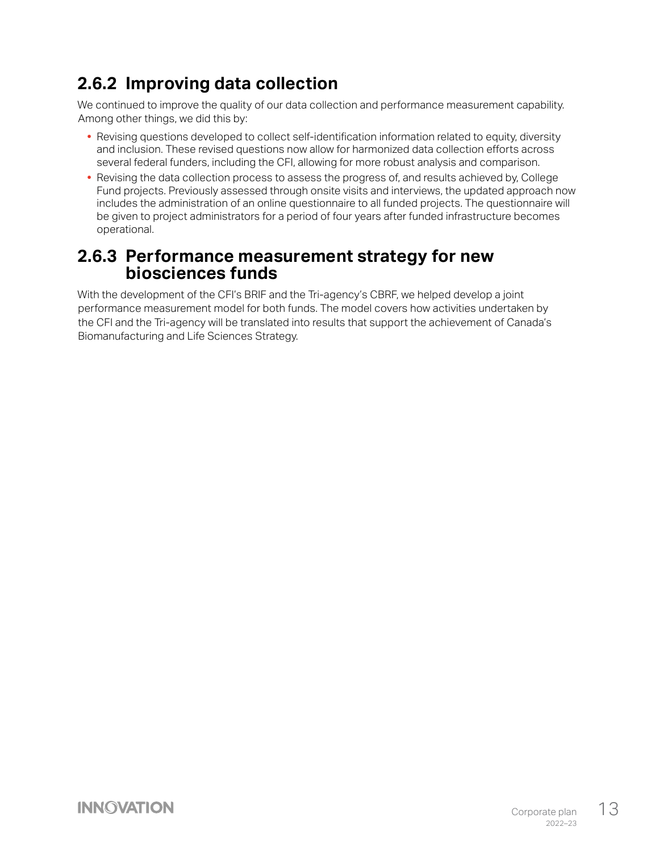#### <span id="page-13-0"></span>**2.6.2 Improving data collection**

We continued to improve the quality of our data collection and performance measurement capability. Among other things, we did this by:

- **•** Revising questions developed to collect self-identification information related to equity, diversity and inclusion. These revised questions now allow for harmonized data collection efforts across several federal funders, including the CFI, allowing for more robust analysis and comparison.
- **•** Revising the data collection process to assess the progress of, and results achieved by, College Fund projects. Previously assessed through onsite visits and interviews, the updated approach now includes the administration of an online questionnaire to all funded projects. The questionnaire will be given to project administrators for a period of four years after funded infrastructure becomes operational.

#### **2.6.3 Performance measurement strategy for new biosciences funds**

With the development of the CFI's BRIF and the Tri-agency's CBRF, we helped develop a joint performance measurement model for both funds. The model covers how activities undertaken by the CFI and the Tri-agency will be translated into results that support the achievement of Canada's Biomanufacturing and Life Sciences Strategy.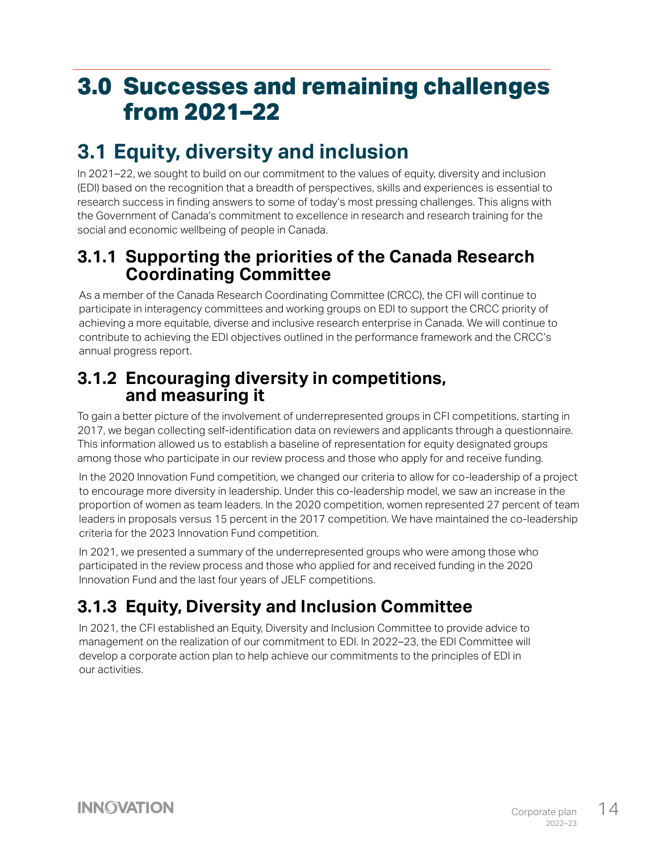# <span id="page-14-0"></span>**3.0 Successes and remaining challenges from 2021–22**

## **3.1 Equity, diversity and inclusion**

In 2021–22, we sought to build on our commitment to the values of equity, diversity and inclusion (EDI) based on the recognition that a breadth of perspectives, skills and experiences is essential to research success in finding answers to some of today's most pressing challenges. This aligns with the Government of Canada's commitment to excellence in research and research training for the social and economic wellbeing of people in Canada.

#### **3.1.1 Supporting the priorities of the Canada Research Coordinating Committee**

As a member of the Canada Research Coordinating Committee (CRCC), the CFI will continue to participate in interagency committees and working groups on EDI to support the CRCC priority of achieving a more equitable, diverse and inclusive research enterprise in Canada. We will continue to contribute to achieving the EDI objectives outlined in the performance framework and the CRCC's annual progress report.

#### **3.1.2 Encouraging diversity in competitions, and measuring it**

To gain a better picture of the involvement of underrepresented groups in CFI competitions, starting in 2017, we began collecting self-identification data on reviewers and applicants through a questionnaire. This information allowed us to establish a baseline of representation for equity designated groups among those who participate in our review process and those who apply for and receive funding.

In the 2020 Innovation Fund competition, we changed our criteria to allow for co-leadership of a project to encourage more diversity in leadership. Under this co-leadership model, we saw an increase in the proportion of women as team leaders. In the 2020 competition, women represented 27 percent of team leaders in proposals versus 15 percent in the 2017 competition. We have maintained the co-leadership criteria for the 2023 Innovation Fund competition.

In 2021, we presented a summary of the underrepresented groups who were among those who participated in the review process and those who applied for and received funding in the 2020 Innovation Fund and the last four years of JELF competitions.

## **3.1.3 Equity, Diversity and Inclusion Committee**

In 2021, the CFI established an Equity, Diversity and Inclusion Committee to provide advice to management on the realization of our commitment to EDI. In 2022–23, the EDI Committee will develop a corporate action plan to help achieve our commitments to the principles of EDI in our activities.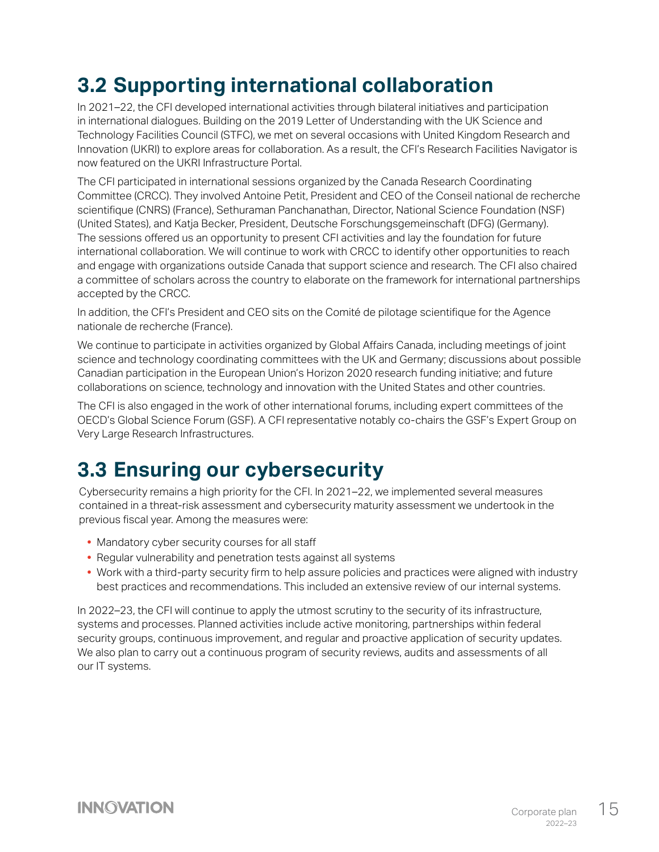# <span id="page-15-0"></span>**3.2 Supporting international collaboration**

In 2021–22, the CFI developed international activities through bilateral initiatives and participation in international dialogues. Building on the 2019 Letter of Understanding with the UK Science and Technology Facilities Council (STFC), we met on several occasions with United Kingdom Research and Innovation (UKRI) to explore areas for collaboration. As a result, the CFI's Research Facilities Navigator is now featured on the UKRI Infrastructure Portal.

The CFI participated in international sessions organized by the Canada Research Coordinating Committee (CRCC). They involved Antoine Petit, President and CEO of the Conseil national de recherche scientifique (CNRS) (France), Sethuraman Panchanathan, Director, National Science Foundation (NSF) (United States), and Katja Becker, President, Deutsche Forschungsgemeinschaft (DFG) (Germany). The sessions offered us an opportunity to present CFI activities and lay the foundation for future international collaboration. We will continue to work with CRCC to identify other opportunities to reach and engage with organizations outside Canada that support science and research. The CFI also chaired a committee of scholars across the country to elaborate on the framework for international partnerships accepted by the CRCC.

In addition, the CFI's President and CEO sits on the Comité de pilotage scientifique for the Agence nationale de recherche (France).

We continue to participate in activities organized by Global Affairs Canada, including meetings of joint science and technology coordinating committees with the UK and Germany; discussions about possible Canadian participation in the European Union's Horizon 2020 research funding initiative; and future collaborations on science, technology and innovation with the United States and other countries.

The CFI is also engaged in the work of other international forums, including expert committees of the OECD's Global Science Forum (GSF). A CFI representative notably co-chairs the GSF's Expert Group on Very Large Research Infrastructures.

## **3.3 Ensuring our cybersecurity**

Cybersecurity remains a high priority for the CFI. In 2021–22, we implemented several measures contained in a threat-risk assessment and cybersecurity maturity assessment we undertook in the previous fiscal year. Among the measures were:

- **•** Mandatory cyber security courses for all staff
- **•** Regular vulnerability and penetration tests against all systems
- **•** Work with a third-party security firm to help assure policies and practices were aligned with industry best practices and recommendations. This included an extensive review of our internal systems.

In 2022–23, the CFI will continue to apply the utmost scrutiny to the security of its infrastructure, systems and processes. Planned activities include active monitoring, partnerships within federal security groups, continuous improvement, and regular and proactive application of security updates. We also plan to carry out a continuous program of security reviews, audits and assessments of all our IT systems.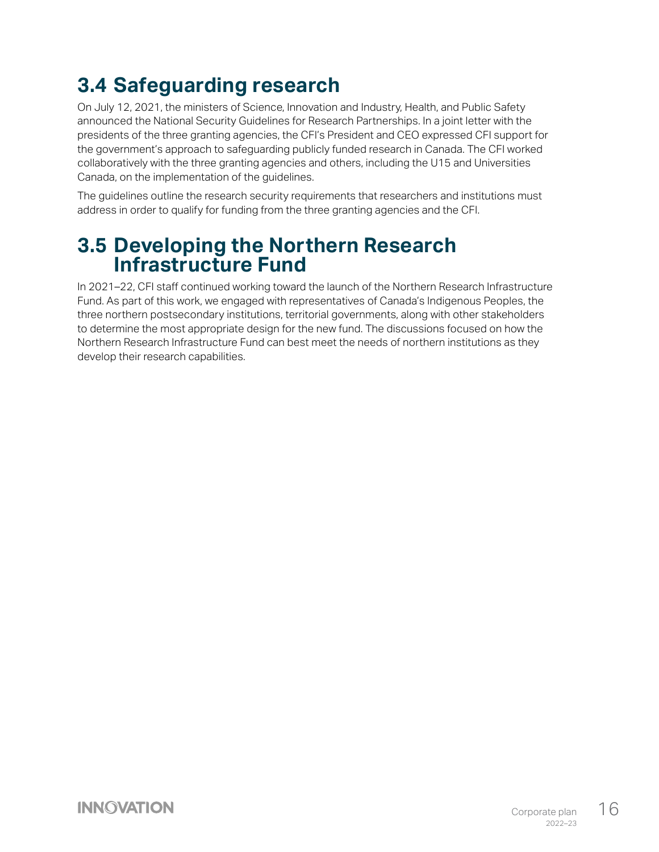# <span id="page-16-0"></span>**3.4 Safeguarding research**

On July 12, 2021, the ministers of Science, Innovation and Industry, Health, and Public Safety announced the National Security Guidelines for Research Partnerships. In a joint letter with the presidents of the three granting agencies, the CFI's President and CEO expressed CFI support for the government's approach to safeguarding publicly funded research in Canada. The CFI worked collaboratively with the three granting agencies and others, including the U15 and Universities Canada, on the implementation of the guidelines.

The guidelines outline the research security requirements that researchers and institutions must address in order to qualify for funding from the three granting agencies and the CFI.

## **3.5 Developing the Northern Research Infrastructure Fund**

In 2021–22, CFI staff continued working toward the launch of the Northern Research Infrastructure Fund. As part of this work, we engaged with representatives of Canada's Indigenous Peoples, the three northern postsecondary institutions, territorial governments, along with other stakeholders to determine the most appropriate design for the new fund. The discussions focused on how the Northern Research Infrastructure Fund can best meet the needs of northern institutions as they develop their research capabilities.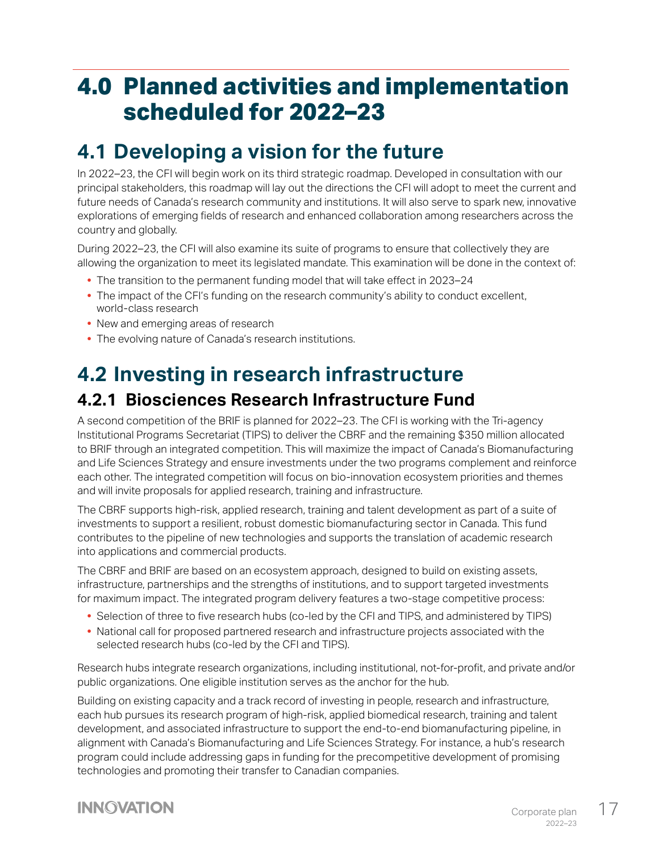# <span id="page-17-0"></span>**4.0 Planned activities and implementation scheduled for 2022–23**

## **4.1 Developing a vision for the future**

In 2022–23, the CFI will begin work on its third strategic roadmap. Developed in consultation with our principal stakeholders, this roadmap will lay out the directions the CFI will adopt to meet the current and future needs of Canada's research community and institutions. It will also serve to spark new, innovative explorations of emerging fields of research and enhanced collaboration among researchers across the country and globally.

During 2022–23, the CFI will also examine its suite of programs to ensure that collectively they are allowing the organization to meet its legislated mandate. This examination will be done in the context of:

- **•** The transition to the permanent funding model that will take effect in 2023–24
- **•** The impact of the CFI's funding on the research community's ability to conduct excellent, world-class research
- **•** New and emerging areas of research
- **•** The evolving nature of Canada's research institutions.

# **4.2 Investing in research infrastructure**

#### **4.2.1 Biosciences Research Infrastructure Fund**

A second competition of the BRIF is planned for 2022–23. The CFI is working with the Tri-agency Institutional Programs Secretariat (TIPS) to deliver the CBRF and the remaining \$350 million allocated to BRIF through an integrated competition. This will maximize the impact of Canada's Biomanufacturing and Life Sciences Strategy and ensure investments under the two programs complement and reinforce each other. The integrated competition will focus on bio-innovation ecosystem priorities and themes and will invite proposals for applied research, training and infrastructure.

The CBRF supports high-risk, applied research, training and talent development as part of a suite of investments to support a resilient, robust domestic biomanufacturing sector in Canada. This fund contributes to the pipeline of new technologies and supports the translation of academic research into applications and commercial products.

The CBRF and BRIF are based on an ecosystem approach, designed to build on existing assets, infrastructure, partnerships and the strengths of institutions, and to support targeted investments for maximum impact. The integrated program delivery features a two-stage competitive process:

- **•** Selection of three to five research hubs (co-led by the CFI and TIPS, and administered by TIPS)
- **•** National call for proposed partnered research and infrastructure projects associated with the selected research hubs (co-led by the CFI and TIPS).

Research hubs integrate research organizations, including institutional, not-for-profit, and private and/or public organizations. One eligible institution serves as the anchor for the hub.

Building on existing capacity and a track record of investing in people, research and infrastructure, each hub pursues its research program of high-risk, applied biomedical research, training and talent development, and associated infrastructure to support the end-to-end biomanufacturing pipeline, in alignment with Canada's Biomanufacturing and Life Sciences Strategy. For instance, a hub's research program could include addressing gaps in funding for the precompetitive development of promising technologies and promoting their transfer to Canadian companies.

#### **INNOVATION**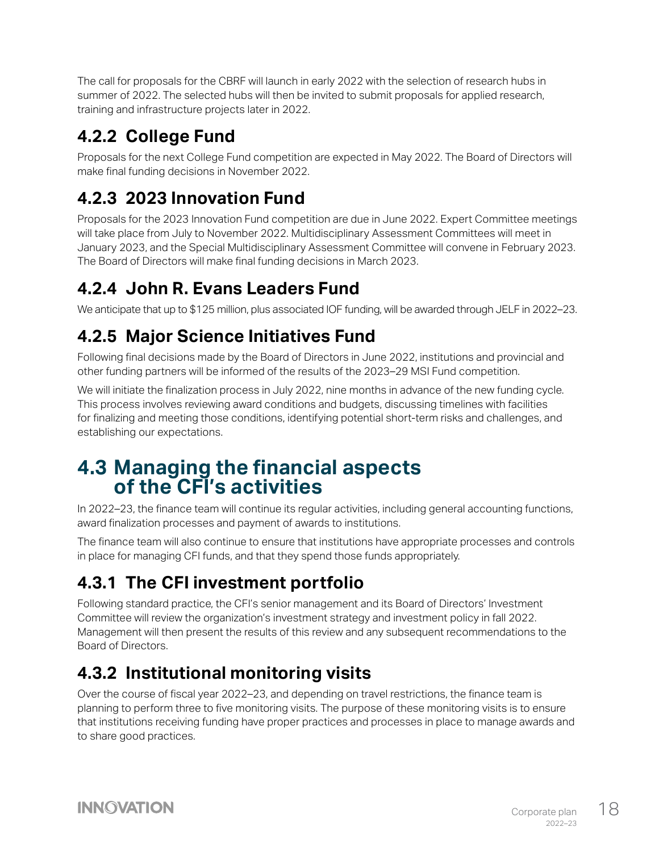<span id="page-18-0"></span>The call for proposals for the CBRF will launch in early 2022 with the selection of research hubs in summer of 2022. The selected hubs will then be invited to submit proposals for applied research, training and infrastructure projects later in 2022.

#### **4.2.2 College Fund**

Proposals for the next College Fund competition are expected in May 2022. The Board of Directors will make final funding decisions in November 2022.

#### **4.2.3 2023 Innovation Fund**

Proposals for the 2023 Innovation Fund competition are due in June 2022. Expert Committee meetings will take place from July to November 2022. Multidisciplinary Assessment Committees will meet in January 2023, and the Special Multidisciplinary Assessment Committee will convene in February 2023. The Board of Directors will make final funding decisions in March 2023.

## **4.2.4 John R. Evans Leaders Fund**

We anticipate that up to \$125 million, plus associated IOF funding, will be awarded through JELF in 2022–23.

## **4.2.5 Major Science Initiatives Fund**

Following final decisions made by the Board of Directors in June 2022, institutions and provincial and other funding partners will be informed of the results of the 2023–29 MSI Fund competition.

We will initiate the finalization process in July 2022, nine months in advance of the new funding cycle. This process involves reviewing award conditions and budgets, discussing timelines with facilities for finalizing and meeting those conditions, identifying potential short-term risks and challenges, and establishing our expectations.

#### **4.3 Managing the financial aspects of the CFI's activities**

In 2022–23, the finance team will continue its regular activities, including general accounting functions, award finalization processes and payment of awards to institutions.

The finance team will also continue to ensure that institutions have appropriate processes and controls in place for managing CFI funds, and that they spend those funds appropriately.

## **4.3.1 The CFI investment portfolio**

Following standard practice, the CFI's senior management and its Board of Directors' Investment Committee will review the organization's investment strategy and investment policy in fall 2022. Management will then present the results of this review and any subsequent recommendations to the Board of Directors.

## **4.3.2 Institutional monitoring visits**

Over the course of fiscal year 2022–23, and depending on travel restrictions, the finance team is planning to perform three to five monitoring visits. The purpose of these monitoring visits is to ensure that institutions receiving funding have proper practices and processes in place to manage awards and to share good practices.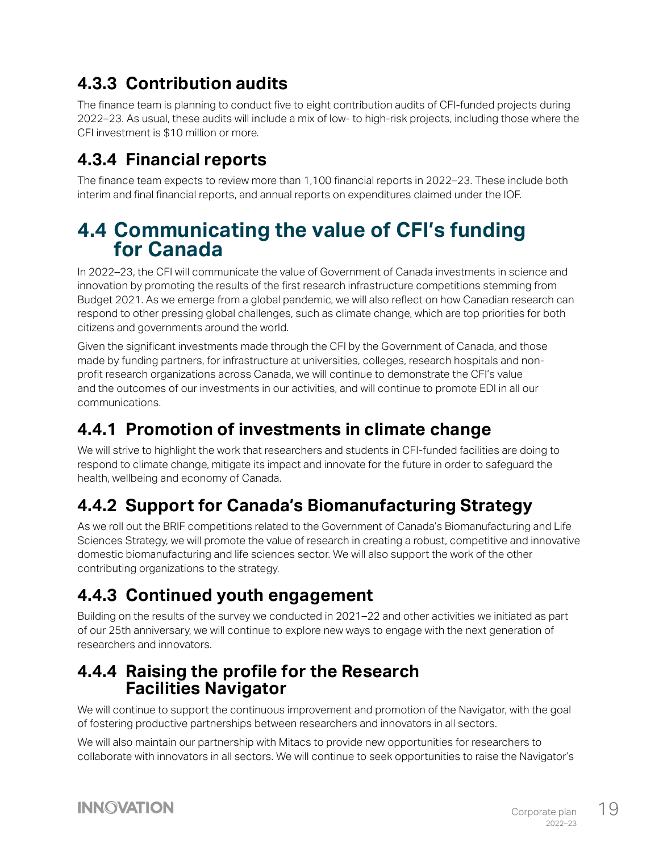#### <span id="page-19-0"></span>**4.3.3 Contribution audits**

The finance team is planning to conduct five to eight contribution audits of CFI-funded projects during 2022–23. As usual, these audits will include a mix of low- to high-risk projects, including those where the CFI investment is \$10 million or more.

#### **4.3.4 Financial reports**

The finance team expects to review more than 1,100 financial reports in 2022–23. These include both interim and final financial reports, and annual reports on expenditures claimed under the IOF.

#### **4.4 Communicating the value of CFI's funding for Canada**

In 2022–23, the CFI will communicate the value of Government of Canada investments in science and innovation by promoting the results of the first research infrastructure competitions stemming from Budget 2021. As we emerge from a global pandemic, we will also reflect on how Canadian research can respond to other pressing global challenges, such as climate change, which are top priorities for both citizens and governments around the world.

Given the significant investments made through the CFI by the Government of Canada, and those made by funding partners, for infrastructure at universities, colleges, research hospitals and nonprofit research organizations across Canada, we will continue to demonstrate the CFI's value and the outcomes of our investments in our activities, and will continue to promote EDI in all our communications.

#### **4.4.1 Promotion of investments in climate change**

We will strive to highlight the work that researchers and students in CFI-funded facilities are doing to respond to climate change, mitigate its impact and innovate for the future in order to safeguard the health, wellbeing and economy of Canada.

#### **4.4.2 Support for Canada's Biomanufacturing Strategy**

As we roll out the BRIF competitions related to the Government of Canada's Biomanufacturing and Life Sciences Strategy, we will promote the value of research in creating a robust, competitive and innovative domestic biomanufacturing and life sciences sector. We will also support the work of the other contributing organizations to the strategy.

#### **4.4.3 Continued youth engagement**

Building on the results of the survey we conducted in 2021–22 and other activities we initiated as part of our 25th anniversary, we will continue to explore new ways to engage with the next generation of researchers and innovators.

#### **4.4.4 Raising the profile for the Research Facilities Navigator**

We will continue to support the continuous improvement and promotion of the Navigator, with the goal of fostering productive partnerships between researchers and innovators in all sectors.

We will also maintain our partnership with Mitacs to provide new opportunities for researchers to collaborate with innovators in all sectors. We will continue to seek opportunities to raise the Navigator's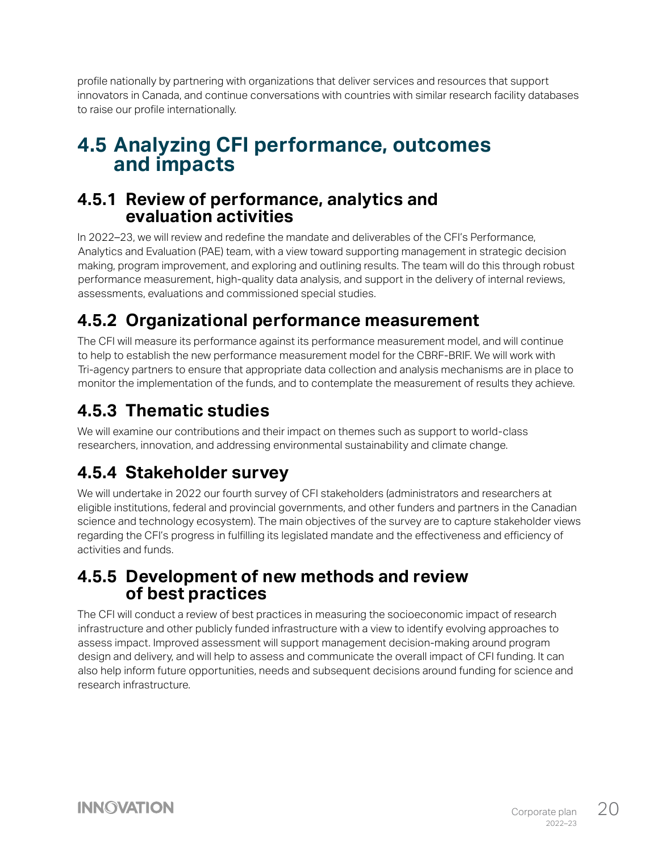<span id="page-20-0"></span>profile nationally by partnering with organizations that deliver services and resources that support innovators in Canada, and continue conversations with countries with similar research facility databases to raise our profile internationally.

## **4.5 Analyzing CFI performance, outcomes and impacts**

#### **4.5.1 Review of performance, analytics and evaluation activities**

In 2022–23, we will review and redefine the mandate and deliverables of the CFI's Performance, Analytics and Evaluation (PAE) team, with a view toward supporting management in strategic decision making, program improvement, and exploring and outlining results. The team will do this through robust performance measurement, high-quality data analysis, and support in the delivery of internal reviews, assessments, evaluations and commissioned special studies.

#### **4.5.2 Organizational performance measurement**

The CFI will measure its performance against its performance measurement model, and will continue to help to establish the new performance measurement model for the CBRF-BRIF. We will work with Tri-agency partners to ensure that appropriate data collection and analysis mechanisms are in place to monitor the implementation of the funds, and to contemplate the measurement of results they achieve.

#### **4.5.3 Thematic studies**

We will examine our contributions and their impact on themes such as support to world-class researchers, innovation, and addressing environmental sustainability and climate change.

#### **4.5.4 Stakeholder survey**

We will undertake in 2022 our fourth survey of CFI stakeholders (administrators and researchers at eligible institutions, federal and provincial governments, and other funders and partners in the Canadian science and technology ecosystem). The main objectives of the survey are to capture stakeholder views regarding the CFI's progress in fulfilling its legislated mandate and the effectiveness and efficiency of activities and funds.

#### **4.5.5 Development of new methods and review of best practices**

The CFI will conduct a review of best practices in measuring the socioeconomic impact of research infrastructure and other publicly funded infrastructure with a view to identify evolving approaches to assess impact. Improved assessment will support management decision-making around program design and delivery, and will help to assess and communicate the overall impact of CFI funding. It can also help inform future opportunities, needs and subsequent decisions around funding for science and research infrastructure.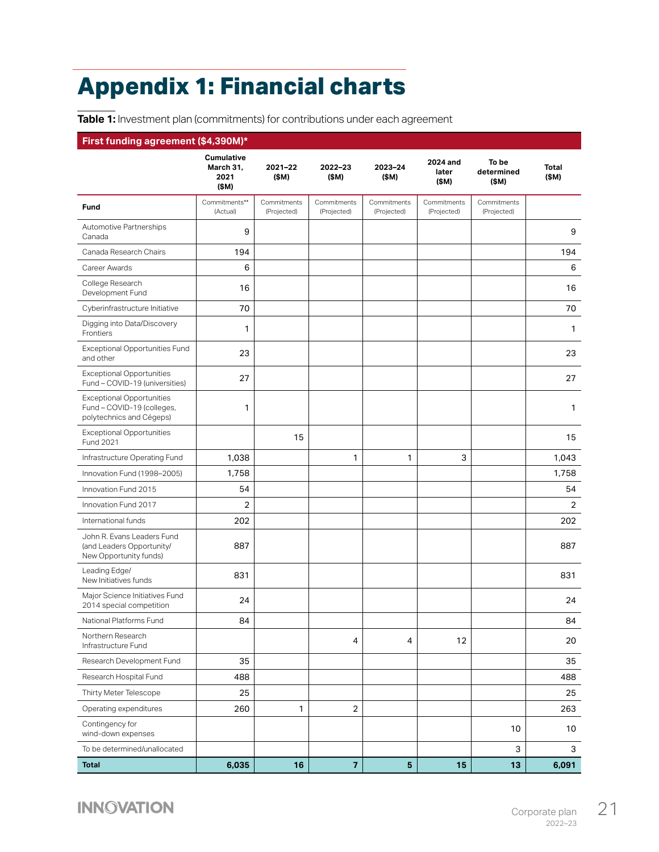# <span id="page-21-1"></span><span id="page-21-0"></span>**Appendix 1: Financial charts**

**Table 1:** Investment plan (commitments) for contributions under each agreement

#### **First funding agreement (\$4,390M)\***

|                                                                                            | Cumulative<br>March 31,<br>2021<br>(\$M) | 2021-22<br>(\$M)           | 2022-23<br>(\$M)           | 2023-24<br>(\$M)           | 2024 and<br>later<br>(\$M) | To be<br>determined<br>(\$M) | <b>Total</b><br>(\$M) |
|--------------------------------------------------------------------------------------------|------------------------------------------|----------------------------|----------------------------|----------------------------|----------------------------|------------------------------|-----------------------|
| Fund                                                                                       | Commitments**<br>(Actual)                | Commitments<br>(Projected) | Commitments<br>(Projected) | Commitments<br>(Projected) | Commitments<br>(Projected) | Commitments<br>(Projected)   |                       |
| Automotive Partnerships<br>Canada                                                          | 9                                        |                            |                            |                            |                            |                              | 9                     |
| Canada Research Chairs                                                                     | 194                                      |                            |                            |                            |                            |                              | 194                   |
| Career Awards                                                                              | 6                                        |                            |                            |                            |                            |                              | 6                     |
| College Research<br>Development Fund                                                       | 16                                       |                            |                            |                            |                            |                              | 16                    |
| Cyberinfrastructure Initiative                                                             | 70                                       |                            |                            |                            |                            |                              | 70                    |
| Digging into Data/Discovery<br>Frontiers                                                   | $\mathbf{1}$                             |                            |                            |                            |                            |                              | $\mathbf{1}$          |
| Exceptional Opportunities Fund<br>and other                                                | 23                                       |                            |                            |                            |                            |                              | 23                    |
| <b>Exceptional Opportunities</b><br>Fund - COVID-19 (universities)                         | 27                                       |                            |                            |                            |                            |                              | 27                    |
| <b>Exceptional Opportunities</b><br>Fund - COVID-19 (colleges,<br>polytechnics and Cégeps) | 1                                        |                            |                            |                            |                            |                              | 1                     |
| <b>Exceptional Opportunities</b><br>Fund 2021                                              |                                          | 15                         |                            |                            |                            |                              | 15                    |
| Infrastructure Operating Fund                                                              | 1,038                                    |                            | $\mathbf{1}$               | 1                          | 3                          |                              | 1,043                 |
| Innovation Fund (1998-2005)                                                                | 1,758                                    |                            |                            |                            |                            |                              | 1,758                 |
| Innovation Fund 2015                                                                       | 54                                       |                            |                            |                            |                            |                              | 54                    |
| Innovation Fund 2017                                                                       | 2                                        |                            |                            |                            |                            |                              | $\overline{2}$        |
| International funds                                                                        | 202                                      |                            |                            |                            |                            |                              | 202                   |
| John R. Evans Leaders Fund<br>(and Leaders Opportunity/<br>New Opportunity funds)          | 887                                      |                            |                            |                            |                            |                              | 887                   |
| Leading Edge/<br>New Initiatives funds                                                     | 831                                      |                            |                            |                            |                            |                              | 831                   |
| Major Science Initiatives Fund<br>2014 special competition                                 | 24                                       |                            |                            |                            |                            |                              | 24                    |
| National Platforms Fund                                                                    | 84                                       |                            |                            |                            |                            |                              | 84                    |
| Northern Research<br>Infrastructure Fund                                                   |                                          |                            | 4                          | 4                          | 12                         |                              | 20                    |
| Research Development Fund                                                                  | 35                                       |                            |                            |                            |                            |                              | 35                    |
| Research Hospital Fund                                                                     | 488                                      |                            |                            |                            |                            |                              | 488                   |
| Thirty Meter Telescope                                                                     | 25                                       |                            |                            |                            |                            |                              | 25                    |
| Operating expenditures                                                                     | 260                                      | $\mathbf{1}$               | $\overline{c}$             |                            |                            |                              | 263                   |
| Contingency for<br>wind-down expenses                                                      |                                          |                            |                            |                            |                            | 10                           | 10                    |
| To be determined/unallocated                                                               |                                          |                            |                            |                            |                            | 3                            | 3                     |
| <b>Total</b>                                                                               | 6,035                                    | 16                         | $\overline{7}$             | $\overline{\mathbf{5}}$    | 15                         | 13                           | 6,091                 |

**INNOVATION**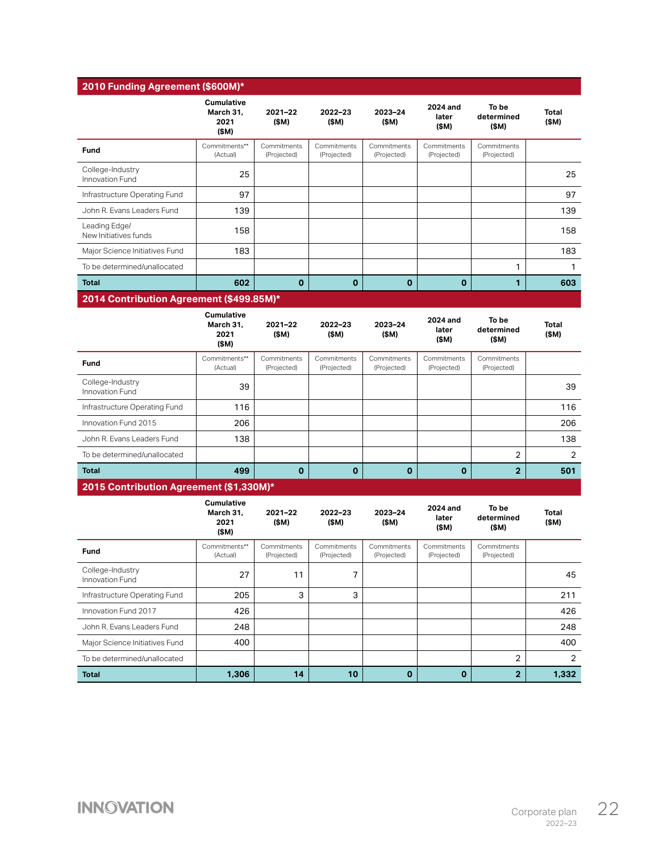| 2010 Funding Agreement (\$600M)*         |                                                |                            |                            |                            |                            |                              |                      |
|------------------------------------------|------------------------------------------------|----------------------------|----------------------------|----------------------------|----------------------------|------------------------------|----------------------|
|                                          | <b>Cumulative</b><br>March 31.<br>2021<br>(SM) | $2021 - 22$<br>(SM)        | 2022-23<br>(SM)            | 2023-24<br>(SM)            | 2024 and<br>later<br>(SM)  | To be<br>determined<br>(SM)  | <b>Total</b><br>(SM) |
| Fund                                     | Commitments**<br>(Actual)                      | Commitments<br>(Projected) | Commitments<br>(Projected) | Commitments<br>(Projected) | Commitments<br>(Projected) | Commitments<br>(Projected)   |                      |
| College-Industry<br>Innovation Fund      | 25                                             |                            |                            |                            |                            |                              | 25                   |
| Infrastructure Operating Fund            | 97                                             |                            |                            |                            |                            |                              | 97                   |
| John R. Evans Leaders Fund               | 139                                            |                            |                            |                            |                            |                              | 139                  |
| Leading Edge/<br>New Initiatives funds   | 158                                            |                            |                            |                            |                            |                              | 158                  |
| Major Science Initiatives Fund           | 183                                            |                            |                            |                            |                            |                              | 183                  |
| To be determined/unallocated             |                                                |                            |                            |                            |                            | 1                            | 1                    |
| <b>Total</b>                             | 602                                            | $\mathbf 0$                | $\mathbf 0$                | $\mathbf 0$                | $\mathbf 0$                | 1                            | 603                  |
| 2014 Contribution Agreement (\$499.85M)* |                                                |                            |                            |                            |                            |                              |                      |
|                                          | <b>Cumulative</b><br>March 31.<br>2021<br>(SM) | $2021 - 22$<br>(SM)        | $2022 - 23$<br>(SM)        | 2023-24<br>(SM)            | 2024 and<br>later<br>(SM)  | To be<br>determined<br>(\$M) | Total<br>(\$M)       |
| Fund                                     | Commitments**<br>(Actual)                      | Commitments<br>(Projected) | Commitments<br>(Projected) | Commitments<br>(Projected) | Commitments<br>(Projected) | Commitments<br>(Projected)   |                      |
| College-Industry<br>Innovation Fund      | 39                                             |                            |                            |                            |                            |                              | 39                   |
| Infrastructure Operating Fund            | 116                                            |                            |                            |                            |                            |                              | 116                  |
| Innovation Fund 2015                     | 206                                            |                            |                            |                            |                            |                              | 206                  |
| John R. Evans Leaders Fund               | 138                                            |                            |                            |                            |                            |                              | 138                  |
| To be determined/unallocated             |                                                |                            |                            |                            |                            | $\overline{2}$               | $\overline{2}$       |

|  | 2015 Contribution Agreement (\$1,330M)* |
|--|-----------------------------------------|
|--|-----------------------------------------|

|                                     | <b>Cumulative</b><br>March 31.<br>2021<br>(SM) | $2021 - 22$<br>(\$M)       | $2022 - 23$<br>(\$M)       | 2023-24<br>(\$M)           | 2024 and<br>later<br>(\$M) | To be<br>determined<br>(\$M) | Total<br>(\$M) |
|-------------------------------------|------------------------------------------------|----------------------------|----------------------------|----------------------------|----------------------------|------------------------------|----------------|
| Fund                                | Commitments**<br>(Actual)                      | Commitments<br>(Projected) | Commitments<br>(Projected) | Commitments<br>(Projected) | Commitments<br>(Projected) | Commitments<br>(Projected)   |                |
| College-Industry<br>Innovation Fund | 27                                             | 11                         | ⇁                          |                            |                            |                              | 45             |
| Infrastructure Operating Fund       | 205                                            | 3                          | 3                          |                            |                            |                              | 211            |
| Innovation Fund 2017                | 426                                            |                            |                            |                            |                            |                              | 426            |
| John R. Evans Leaders Fund          | 248                                            |                            |                            |                            |                            |                              | 248            |
| Major Science Initiatives Fund      | 400                                            |                            |                            |                            |                            |                              | 400            |
| To be determined/unallocated        |                                                |                            |                            |                            |                            | $\overline{2}$               | 2              |
| <b>Total</b>                        | 1,306                                          | 14                         | 10                         | $\bf{0}$                   | $\mathbf 0$                | $\overline{2}$               | 1,332          |

**Total 499 0 0 0 0 2 501**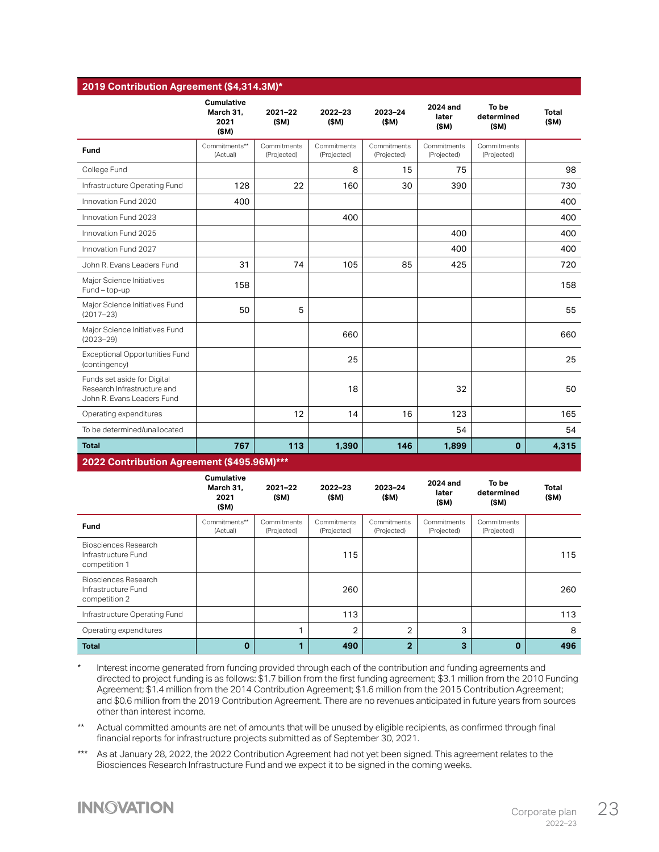|                                                                                          | <b>Cumulative</b><br>March 31,<br>2021<br>(SM) | $2021 - 22$<br>(SM)        | 2022-23<br>(SM)            | 2023-24<br>(SM)            | 2024 and<br>later<br>(SM)  | To be<br>determined<br>(SM) | <b>Total</b><br>(SM) |
|------------------------------------------------------------------------------------------|------------------------------------------------|----------------------------|----------------------------|----------------------------|----------------------------|-----------------------------|----------------------|
| Fund                                                                                     | Commitments**<br>(Actual)                      | Commitments<br>(Projected) | Commitments<br>(Projected) | Commitments<br>(Projected) | Commitments<br>(Projected) | Commitments<br>(Projected)  |                      |
| College Fund                                                                             |                                                |                            | 8                          | 15                         | 75                         |                             | 98                   |
| Infrastructure Operating Fund                                                            | 128                                            | 22                         | 160                        | 30                         | 390                        |                             | 730                  |
| Innovation Fund 2020                                                                     | 400                                            |                            |                            |                            |                            |                             | 400                  |
| Innovation Fund 2023                                                                     |                                                |                            | 400                        |                            |                            |                             | 400                  |
| Innovation Fund 2025                                                                     |                                                |                            |                            |                            | 400                        |                             | 400                  |
| Innovation Fund 2027                                                                     |                                                |                            |                            |                            | 400                        |                             | 400                  |
| John R. Evans Leaders Fund                                                               | 31                                             | 74                         | 105                        | 85                         | 425                        |                             | 720                  |
| Major Science Initiatives<br>Fund - top-up                                               | 158                                            |                            |                            |                            |                            |                             | 158                  |
| Major Science Initiatives Fund<br>$(2017 - 23)$                                          | 50                                             | 5                          |                            |                            |                            |                             | 55                   |
| Major Science Initiatives Fund<br>$(2023 - 29)$                                          |                                                |                            | 660                        |                            |                            |                             | 660                  |
| <b>Exceptional Opportunities Fund</b><br>(contingency)                                   |                                                |                            | 25                         |                            |                            |                             | 25                   |
| Funds set aside for Digital<br>Research Infrastructure and<br>John R. Evans Leaders Fund |                                                |                            | 18                         |                            | 32                         |                             | 50                   |
| Operating expenditures                                                                   |                                                | 12                         | 14                         | 16                         | 123                        |                             | 165                  |
| To be determined/unallocated                                                             |                                                |                            |                            |                            | 54                         |                             | 54                   |
| <b>Total</b>                                                                             | 767                                            | 113                        | 1,390                      | 146                        | 1,899                      | $\mathbf 0$                 | 4.315                |

|                                                              | Cumulative<br>March 31,<br>2021<br>(SM) | $2021 - 22$<br>(\$M)       | $2022 - 23$<br>(\$M)       | 2023-24<br>(\$M)           | 2024 and<br>later<br>(\$M) | To be<br>determined<br>(\$M) | Total<br>(\$M) |
|--------------------------------------------------------------|-----------------------------------------|----------------------------|----------------------------|----------------------------|----------------------------|------------------------------|----------------|
| <b>Fund</b>                                                  | Commitments**<br>(Actual)               | Commitments<br>(Projected) | Commitments<br>(Projected) | Commitments<br>(Projected) | Commitments<br>(Projected) | Commitments<br>(Projected)   |                |
| Biosciences Research<br>Infrastructure Fund<br>competition 1 |                                         |                            | 115                        |                            |                            |                              | 115            |
| Biosciences Research<br>Infrastructure Fund<br>competition 2 |                                         |                            | 260                        |                            |                            |                              | 260            |
| Infrastructure Operating Fund                                |                                         |                            | 113                        |                            |                            |                              | 113            |
| Operating expenditures                                       |                                         |                            | $\overline{2}$             | $\overline{2}$             | 3                          |                              | 8              |
| <b>Total</b>                                                 | $\Omega$                                |                            | 490                        | $\overline{2}$             | 3                          | $\mathbf 0$                  | 496            |

Interest income generated from funding provided through each of the contribution and funding agreements and directed to project funding is as follows: \$1.7 billion from the first funding agreement; \$3.1 million from the 2010 Funding Agreement; \$1.4 million from the 2014 Contribution Agreement; \$1.6 million from the 2015 Contribution Agreement; and \$0.6 million from the 2019 Contribution Agreement. There are no revenues anticipated in future years from sources other than interest income.

\*\* Actual committed amounts are net of amounts that will be unused by eligible recipients, as confirmed through final financial reports for infrastructure projects submitted as of September 30, 2021.

\*\*\* As at January 28, 2022, the 2022 Contribution Agreement had not yet been signed. This agreement relates to the Biosciences Research Infrastructure Fund and we expect it to be signed in the coming weeks.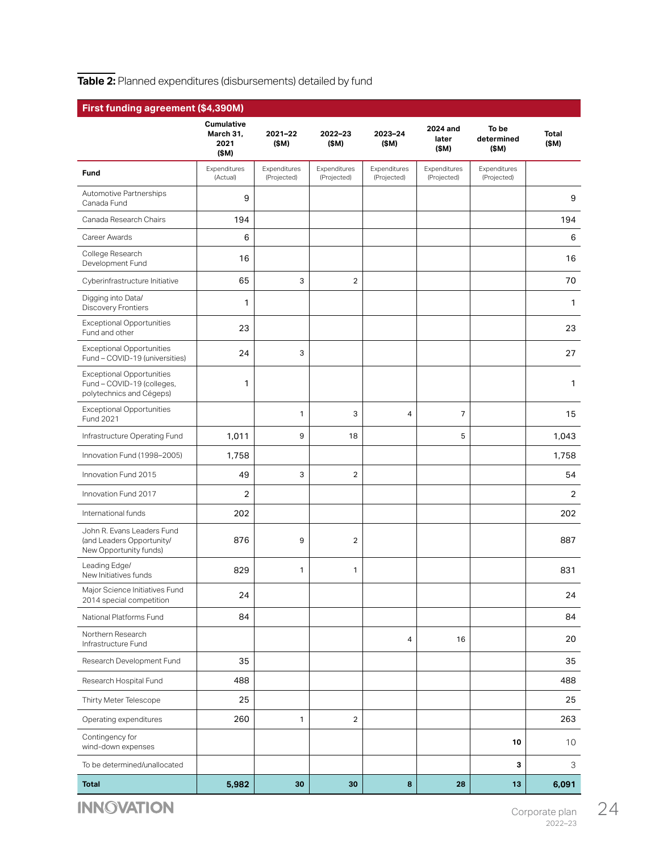#### <span id="page-24-0"></span>**Table 2:** Planned expenditures (disbursements) detailed by fund

| First funding agreement (\$4,390M)                                                         |                                                 |                             |                             |                             |                             |                              |                      |  |
|--------------------------------------------------------------------------------------------|-------------------------------------------------|-----------------------------|-----------------------------|-----------------------------|-----------------------------|------------------------------|----------------------|--|
|                                                                                            | <b>Cumulative</b><br>March 31,<br>2021<br>(\$M) | 2021-22<br>(\$M)            | 2022-23<br>(\$M)            | 2023-24<br>(\$M)            | 2024 and<br>later<br>(\$M)  | To be<br>determined<br>(\$M) | <b>Total</b><br>(SM) |  |
| Fund                                                                                       | Expenditures<br>(Actual)                        | Expenditures<br>(Projected) | Expenditures<br>(Projected) | Expenditures<br>(Projected) | Expenditures<br>(Projected) | Expenditures<br>(Projected)  |                      |  |
| Automotive Partnerships<br>Canada Fund                                                     | 9                                               |                             |                             |                             |                             |                              | 9                    |  |
| Canada Research Chairs                                                                     | 194                                             |                             |                             |                             |                             |                              | 194                  |  |
| Career Awards                                                                              | 6                                               |                             |                             |                             |                             |                              | 6                    |  |
| College Research<br>Development Fund                                                       | 16                                              |                             |                             |                             |                             |                              | 16                   |  |
| Cyberinfrastructure Initiative                                                             | 65                                              | 3                           | $\overline{2}$              |                             |                             |                              | 70                   |  |
| Digging into Data/<br>Discovery Frontiers                                                  | 1                                               |                             |                             |                             |                             |                              | 1                    |  |
| <b>Exceptional Opportunities</b><br>Fund and other                                         | 23                                              |                             |                             |                             |                             |                              | 23                   |  |
| <b>Exceptional Opportunities</b><br>Fund - COVID-19 (universities)                         | 24                                              | 3                           |                             |                             |                             |                              | 27                   |  |
| <b>Exceptional Opportunities</b><br>Fund - COVID-19 (colleges,<br>polytechnics and Cégeps) | 1                                               |                             |                             |                             |                             |                              | 1                    |  |
| <b>Exceptional Opportunities</b><br>Fund 2021                                              |                                                 | $\mathbf{1}$                | 3                           | $\overline{4}$              | $\overline{7}$              |                              | 15                   |  |
| Infrastructure Operating Fund                                                              | 1,011                                           | 9                           | 18                          |                             | 5                           |                              | 1,043                |  |
| Innovation Fund (1998-2005)                                                                | 1,758                                           |                             |                             |                             |                             |                              | 1,758                |  |
| Innovation Fund 2015                                                                       | 49                                              | 3                           | 2                           |                             |                             |                              | 54                   |  |
| Innovation Fund 2017                                                                       | 2                                               |                             |                             |                             |                             |                              | $\overline{2}$       |  |
| International funds                                                                        | 202                                             |                             |                             |                             |                             |                              | 202                  |  |
| John R. Evans Leaders Fund<br>(and Leaders Opportunity/<br>New Opportunity funds)          | 876                                             | 9                           | $\overline{2}$              |                             |                             |                              | 887                  |  |
| Leading Edge/<br>New Initiatives funds                                                     | 829                                             | 1                           | 1                           |                             |                             |                              | 831                  |  |
| Major Science Initiatives Fund<br>2014 special competition                                 | 24                                              |                             |                             |                             |                             |                              | 24                   |  |
| National Platforms Fund                                                                    | 84                                              |                             |                             |                             |                             |                              | 84                   |  |
| Northern Research<br>Infrastructure Fund                                                   |                                                 |                             |                             | 4                           | 16                          |                              | 20                   |  |
| Research Development Fund                                                                  | 35                                              |                             |                             |                             |                             |                              | 35                   |  |
| Research Hospital Fund                                                                     | 488                                             |                             |                             |                             |                             |                              | 488                  |  |
| Thirty Meter Telescope                                                                     | 25                                              |                             |                             |                             |                             |                              | 25                   |  |
| Operating expenditures                                                                     | 260                                             | 1                           | $\overline{2}$              |                             |                             |                              | 263                  |  |
| Contingency for<br>wind-down expenses                                                      |                                                 |                             |                             |                             |                             | 10                           | 10                   |  |
| To be determined/unallocated                                                               |                                                 |                             |                             |                             |                             | 3                            | З                    |  |
| <b>Total</b>                                                                               | 5,982                                           | 30                          | 30                          | 8                           | 28                          | 13                           | 6,091                |  |

**INNOVATION**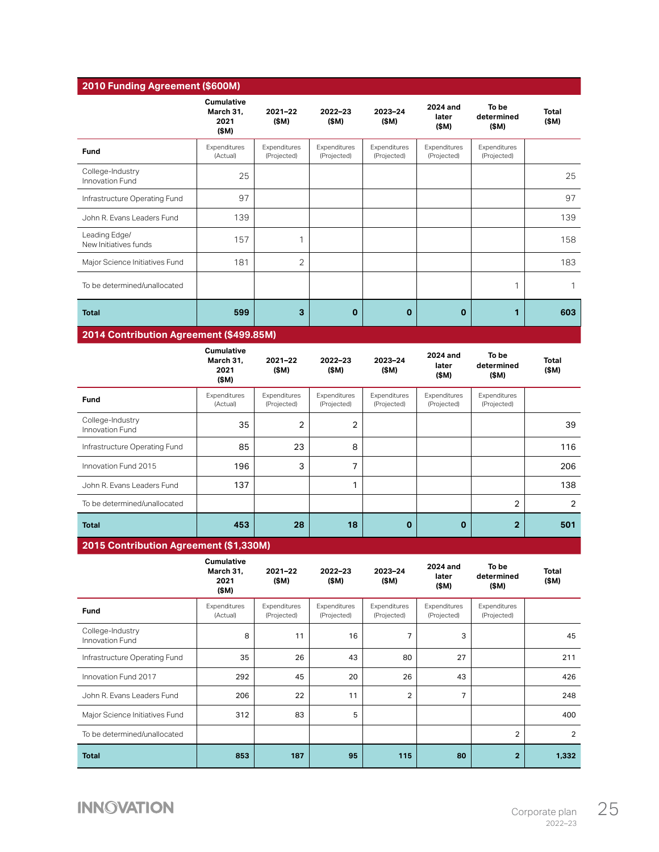| 2010 Funding Agreement (\$600M)         |                                                 |                             |                             |                             |                             |                              |                       |
|-----------------------------------------|-------------------------------------------------|-----------------------------|-----------------------------|-----------------------------|-----------------------------|------------------------------|-----------------------|
|                                         | <b>Cumulative</b><br>March 31,<br>2021<br>(\$M) | 2021-22<br>(\$M)            | $2022 - 23$<br>(\$M)        | 2023-24<br>(\$M)            | 2024 and<br>later<br>(\$M)  | To be<br>determined<br>(\$M) | <b>Total</b><br>(\$M) |
| Fund                                    | Expenditures<br>(Actual)                        | Expenditures<br>(Projected) | Expenditures<br>(Projected) | Expenditures<br>(Projected) | Expenditures<br>(Projected) | Expenditures<br>(Projected)  |                       |
| College-Industry<br>Innovation Fund     | 25                                              |                             |                             |                             |                             |                              | 25                    |
| Infrastructure Operating Fund           | 97                                              |                             |                             |                             |                             |                              | 97                    |
| John R. Evans Leaders Fund              | 139                                             |                             |                             |                             |                             |                              | 139                   |
| Leading Edge/<br>New Initiatives funds  | 157                                             | 1                           |                             |                             |                             |                              | 158                   |
| Major Science Initiatives Fund          | 181                                             | 2                           |                             |                             |                             |                              | 183                   |
| To be determined/unallocated            |                                                 |                             |                             |                             |                             | 1                            | 1                     |
| <b>Total</b>                            | 599                                             | 3                           | $\mathbf 0$                 | $\mathbf 0$                 | $\mathbf 0$                 | 1                            | 603                   |
| 2014 Contribution Agreement (\$499.85M) |                                                 |                             |                             |                             |                             |                              |                       |
|                                         | <b>Cumulative</b><br>March 31,<br>2021<br>(\$M) | $2021 - 22$<br>(\$M)        | 2022-23<br>(\$M)            | 2023-24<br>(\$M)            | 2024 and<br>later<br>(\$M)  | To be<br>determined<br>(\$M) | <b>Total</b><br>(\$M) |
| Fund                                    | Expenditures<br>(Actual)                        | Expenditures<br>(Projected) | Expenditures<br>(Projected) | Expenditures<br>(Projected) | Expenditures<br>(Projected) | Expenditures<br>(Projected)  |                       |
| College-Industry<br>Innovation Fund     | 35                                              | 2                           | $\boldsymbol{2}$            |                             |                             |                              | 39                    |
| Infrastructure Operating Fund           | 85                                              | 23                          | 8                           |                             |                             |                              | 116                   |
| Innovation Fund 2015                    | 196                                             | 3                           | $\overline{7}$              |                             |                             |                              | 206                   |
| John R. Evans Leaders Fund              | 137                                             |                             | 1                           |                             |                             |                              | 138                   |
| To be determined/unallocated            |                                                 |                             |                             |                             |                             | $\overline{2}$               | $\overline{2}$        |
| <b>Total</b>                            | 453                                             | 28                          | 18                          | $\mathbf 0$                 | $\mathbf 0$                 | $\overline{2}$               | 501                   |
| 2015 Contribution Agreement (\$1,330M)  |                                                 |                             |                             |                             |                             |                              |                       |
|                                         | Cumulative<br>March 31,<br>2021<br>(\$M)        | 2021-22<br>(\$M)            | 2022-23<br>(\$M)            | 2023-24<br>(\$M)            | 2024 and<br>later<br>(\$M)  | To be<br>determined<br>(\$M) | <b>Total</b><br>(\$M) |
| Fund                                    | Expenditures<br>(Actual)                        | Expenditures<br>(Projected) | Expenditures<br>(Projected) | Expenditures<br>(Projected) | Expenditures<br>(Projected) | Expenditures<br>(Projected)  |                       |
| College-Industry<br>Innovation Fund     | 8                                               | 11                          | 16                          | 7                           | 3                           |                              | 45                    |
| Infrastructure Operating Fund           | 35                                              | 26                          | 43                          | 80                          | 27                          |                              | 211                   |
| Innovation Fund 2017                    | 292                                             | 45                          | 20                          | 26                          | 43                          |                              | 426                   |

John R. Evans Leaders Fund 206 206 22 11 2 7 7 248 Major Science Initiatives Fund 312 312 83 5 5 400 To be determined/unallocated 2 2

**Total 853 187 95 115 80 2 1,332**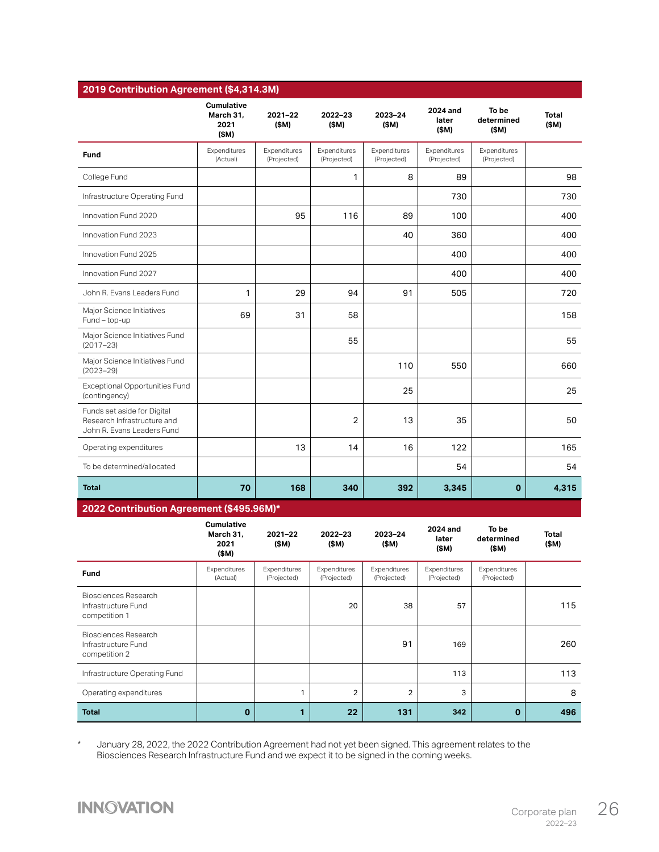| 2019 Contribution Agreement (\$4,314.3M)                                                 |                                                |                             |                             |                             |                             |                              |                      |
|------------------------------------------------------------------------------------------|------------------------------------------------|-----------------------------|-----------------------------|-----------------------------|-----------------------------|------------------------------|----------------------|
|                                                                                          | Cumulative<br>March 31.<br>2021<br>(SM)        | $2021 - 22$<br>(SM)         | 2022-23<br>(\$M)            | 2023-24<br>(\$M)            | 2024 and<br>later<br>(\$M)  | To be<br>determined<br>(\$M) | <b>Total</b><br>(SM) |
| <b>Fund</b>                                                                              | Expenditures<br>(Actual)                       | Expenditures<br>(Projected) | Expenditures<br>(Projected) | Expenditures<br>(Projected) | Expenditures<br>(Projected) | Expenditures<br>(Projected)  |                      |
| College Fund                                                                             |                                                |                             | $\mathbf{1}$                | 8                           | 89                          |                              | 98                   |
| Infrastructure Operating Fund                                                            |                                                |                             |                             |                             | 730                         |                              | 730                  |
| Innovation Fund 2020                                                                     |                                                | 95                          | 116                         | 89                          | 100                         |                              | 400                  |
| Innovation Fund 2023                                                                     |                                                |                             |                             | 40                          | 360                         |                              | 400                  |
| Innovation Fund 2025                                                                     |                                                |                             |                             |                             | 400                         |                              | 400                  |
| Innovation Fund 2027                                                                     |                                                |                             |                             |                             | 400                         |                              | 400                  |
| John R. Evans Leaders Fund                                                               | 1                                              | 29                          | 94                          | 91                          | 505                         |                              | 720                  |
| Major Science Initiatives<br>Fund - top-up                                               | 69                                             | 31                          | 58                          |                             |                             |                              | 158                  |
| Major Science Initiatives Fund<br>$(2017 - 23)$                                          |                                                |                             | 55                          |                             |                             |                              | 55                   |
| Major Science Initiatives Fund<br>$(2023 - 29)$                                          |                                                |                             |                             | 110                         | 550                         |                              | 660                  |
| <b>Exceptional Opportunities Fund</b><br>(contingency)                                   |                                                |                             |                             | 25                          |                             |                              | 25                   |
| Funds set aside for Digital<br>Research Infrastructure and<br>John R. Evans Leaders Fund |                                                |                             | $\overline{2}$              | 13                          | 35                          |                              | 50                   |
| Operating expenditures                                                                   |                                                | 13                          | 14                          | 16                          | 122                         |                              | 165                  |
| To be determined/allocated                                                               |                                                |                             |                             |                             | 54                          |                              | 54                   |
| <b>Total</b>                                                                             | 70                                             | 168                         | 340                         | 392                         | 3,345                       | $\mathbf 0$                  | 4,315                |
| 2022 Contribution Agreement (\$495.96M)*                                                 |                                                |                             |                             |                             |                             |                              |                      |
|                                                                                          | <b>Cumulative</b><br>March 31,<br>2021<br>(SM) | $2021 - 22$<br>(\$M)        | 2022-23<br>(\$M)            | 2023-24<br>(\$M)            | 2024 and<br>later<br>(SM)   | To be<br>determined<br>(\$M) | <b>Total</b><br>(SM) |
| Fund                                                                                     | Expenditures<br>(Actual)                       | Expenditures<br>(Projected) | Expenditures<br>(Projected) | Expenditures<br>(Projected) | Expenditures<br>(Projected) | Expenditures<br>(Projected)  |                      |
| Biosciences Research                                                                     |                                                |                             |                             |                             |                             |                              |                      |

\* January 28, 2022, the 2022 Contribution Agreement had not yet been signed. This agreement relates to the Biosciences Research Infrastructure Fund and we expect it to be signed in the coming weeks.

Infrastructure Operating Fund 113 113 Operating expenditures  $\begin{vmatrix} 1 & 1 & 2 & 2 & 3 \end{vmatrix}$  3

**Total 0 1 22 131 342 0 496**

#### **INNOVATION**

Infrastructure Fund competition 1

Biosciences Research Infrastructure Fund competition 2

20 | 38 | 57 | 115

91 | 169 | 260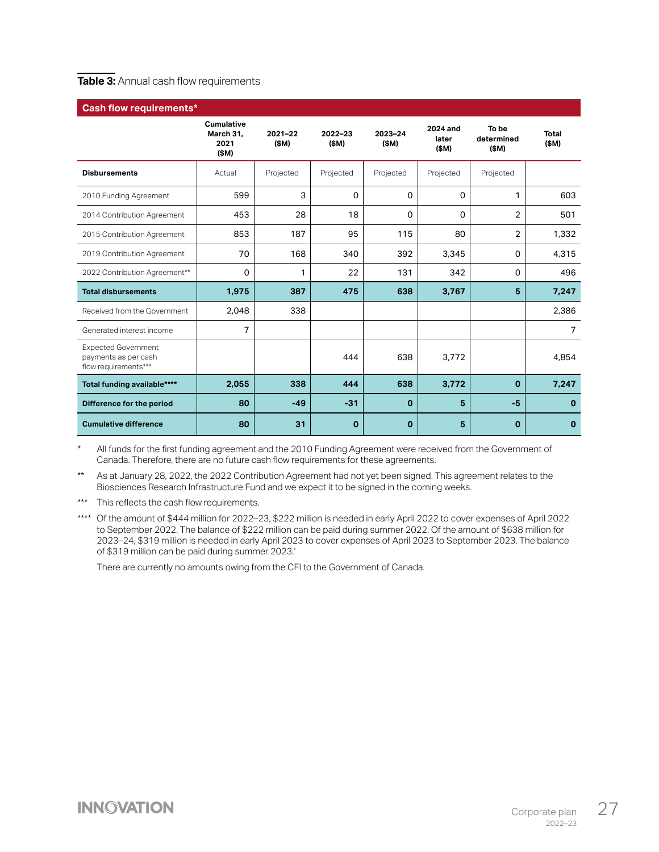#### <span id="page-27-0"></span>**Table 3: Annual cash flow requirements**

| <b>Cash flow requirements*</b>                                             |                                                |                     |                     |                 |                           |                             |                |
|----------------------------------------------------------------------------|------------------------------------------------|---------------------|---------------------|-----------------|---------------------------|-----------------------------|----------------|
|                                                                            | <b>Cumulative</b><br>March 31.<br>2021<br>(SM) | $2021 - 22$<br>(SM) | $2022 - 23$<br>(SM) | 2023-24<br>(SM) | 2024 and<br>later<br>(SM) | To be<br>determined<br>(SM) | Total<br>(SM)  |
| <b>Disbursements</b>                                                       | Actual                                         | Projected           | Projected           | Projected       | Projected                 | Projected                   |                |
| 2010 Funding Agreement                                                     | 599                                            | 3                   | 0                   | 0               | 0                         | 1                           | 603            |
| 2014 Contribution Agreement                                                | 453                                            | 28                  | 18                  | 0               | 0                         | 2                           | 501            |
| 2015 Contribution Agreement                                                | 853                                            | 187                 | 95                  | 115             | 80                        | 2                           | 1,332          |
| 2019 Contribution Agreement                                                | 70                                             | 168                 | 340                 | 392             | 3,345                     | 0                           | 4,315          |
| 2022 Contribution Agreement**                                              | 0                                              | 1                   | 22                  | 131             | 342                       | 0                           | 496            |
| <b>Total disbursements</b>                                                 | 1,975                                          | 387                 | 475                 | 638             | 3,767                     | 5                           | 7,247          |
| Received from the Government                                               | 2,048                                          | 338                 |                     |                 |                           |                             | 2,386          |
| Generated interest income                                                  | 7                                              |                     |                     |                 |                           |                             | $\overline{7}$ |
| <b>Expected Government</b><br>payments as per cash<br>flow requirements*** |                                                |                     | 444                 | 638             | 3,772                     |                             | 4,854          |
| Total funding available****                                                | 2,055                                          | 338                 | 444                 | 638             | 3,772                     | $\mathbf 0$                 | 7,247          |
| Difference for the period                                                  | 80                                             | $-49$               | $-31$               | 0               | 5                         | $-5$                        | $\mathbf{0}$   |
| <b>Cumulative difference</b>                                               | 80                                             | 31                  | $\mathbf 0$         | $\bf{0}$        | 5                         | $\mathbf 0$                 | 0              |

All funds for the first funding agreement and the 2010 Funding Agreement were received from the Government of Canada. Therefore, there are no future cash flow requirements for these agreements.

\*\* As at January 28, 2022, the 2022 Contribution Agreement had not yet been signed. This agreement relates to the Biosciences Research Infrastructure Fund and we expect it to be signed in the coming weeks.

\*\*\* This reflects the cash flow requirements.

\*\*\*\* Of the amount of \$444 million for 2022-23, \$222 million is needed in early April 2022 to cover expenses of April 2022 to September 2022. The balance of \$222 million can be paid during summer 2022. Of the amount of \$638 million for 2023–24, \$319 million is needed in early April 2023 to cover expenses of April 2023 to September 2023. The balance of \$319 million can be paid during summer 2023.'

There are currently no amounts owing from the CFI to the Government of Canada.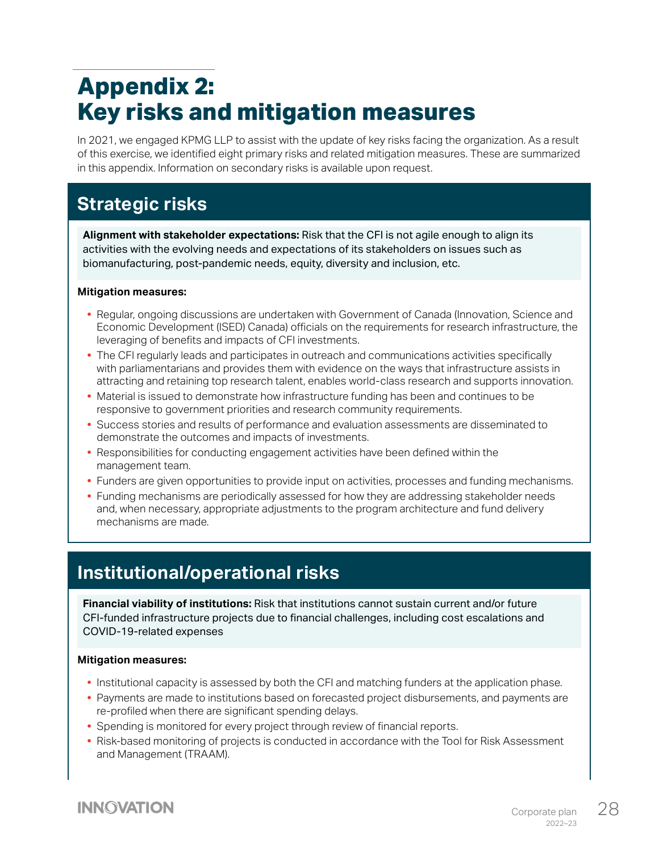# <span id="page-28-0"></span>**Appendix 2: Key risks and mitigation measures**

In 2021, we engaged KPMG LLP to assist with the update of key risks facing the organization. As a result of this exercise, we identified eight primary risks and related mitigation measures. These are summarized in this appendix. Information on secondary risks is available upon request.

## **Strategic risks**

**Alignment with stakeholder expectations:** Risk that the CFI is not agile enough to align its activities with the evolving needs and expectations of its stakeholders on issues such as biomanufacturing, post-pandemic needs, equity, diversity and inclusion, etc.

#### **Mitigation measures:**

- **•** Regular, ongoing discussions are undertaken with Government of Canada (Innovation, Science and Economic Development (ISED) Canada) officials on the requirements for research infrastructure, the leveraging of benefits and impacts of CFI investments.
- **•** The CFI regularly leads and participates in outreach and communications activities specifically with parliamentarians and provides them with evidence on the ways that infrastructure assists in attracting and retaining top research talent, enables world-class research and supports innovation.
- **•** Material is issued to demonstrate how infrastructure funding has been and continues to be responsive to government priorities and research community requirements.
- **•** Success stories and results of performance and evaluation assessments are disseminated to demonstrate the outcomes and impacts of investments.
- **•** Responsibilities for conducting engagement activities have been defined within the management team.
- **•** Funders are given opportunities to provide input on activities, processes and funding mechanisms.
- **•** Funding mechanisms are periodically assessed for how they are addressing stakeholder needs and, when necessary, appropriate adjustments to the program architecture and fund delivery mechanisms are made.

#### **Institutional/operational risks**

**Financial viability of institutions:** Risk that institutions cannot sustain current and/or future CFI-funded infrastructure projects due to financial challenges, including cost escalations and COVID-19-related expenses

#### **Mitigation measures:**

- **•** Institutional capacity is assessed by both the CFI and matching funders at the application phase.
- **•** Payments are made to institutions based on forecasted project disbursements, and payments are re-profiled when there are significant spending delays.
- **•** Spending is monitored for every project through review of financial reports.
- **•** Risk-based monitoring of projects is conducted in accordance with the Tool for Risk Assessment and Management (TRAAM).

#### **INNOVATION**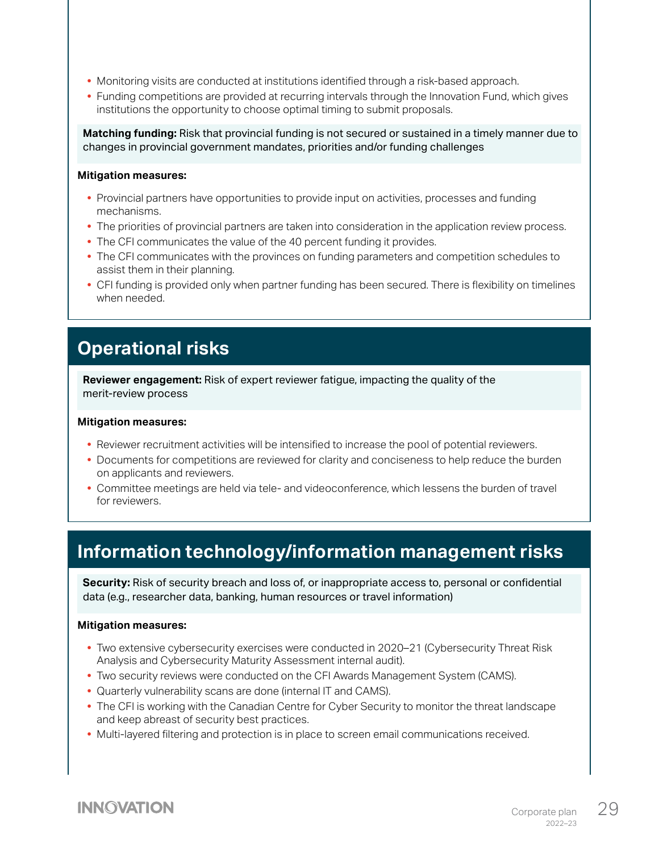- **•** Monitoring visits are conducted at institutions identified through a risk-based approach.
- **•** Funding competitions are provided at recurring intervals through the Innovation Fund, which gives institutions the opportunity to choose optimal timing to submit proposals.

**Matching funding:** Risk that provincial funding is not secured or sustained in a timely manner due to changes in provincial government mandates, priorities and/or funding challenges

#### **Mitigation measures:**

- **•** Provincial partners have opportunities to provide input on activities, processes and funding mechanisms.
- **•** The priorities of provincial partners are taken into consideration in the application review process.
- **•** The CFI communicates the value of the 40 percent funding it provides.
- **•** The CFI communicates with the provinces on funding parameters and competition schedules to assist them in their planning.
- **•** CFI funding is provided only when partner funding has been secured. There is flexibility on timelines when needed.

#### **Operational risks**

**Reviewer engagement:** Risk of expert reviewer fatigue, impacting the quality of the merit-review process

#### **Mitigation measures:**

- **•** Reviewer recruitment activities will be intensified to increase the pool of potential reviewers.
- **•** Documents for competitions are reviewed for clarity and conciseness to help reduce the burden on applicants and reviewers.
- **•** Committee meetings are held via tele- and videoconference, which lessens the burden of travel for reviewers.

#### **Information technology/information management risks**

**Security:** Risk of security breach and loss of, or inappropriate access to, personal or confidential data (e.g., researcher data, banking, human resources or travel information)

#### **Mitigation measures:**

- **•** Two extensive cybersecurity exercises were conducted in 2020–21 (Cybersecurity Threat Risk Analysis and Cybersecurity Maturity Assessment internal audit).
- **•** Two security reviews were conducted on the CFI Awards Management System (CAMS).
- **•** Quarterly vulnerability scans are done (internal IT and CAMS).
- **•** The CFI is working with the Canadian Centre for Cyber Security to monitor the threat landscape and keep abreast of security best practices.
- **•** Multi-layered filtering and protection is in place to screen email communications received.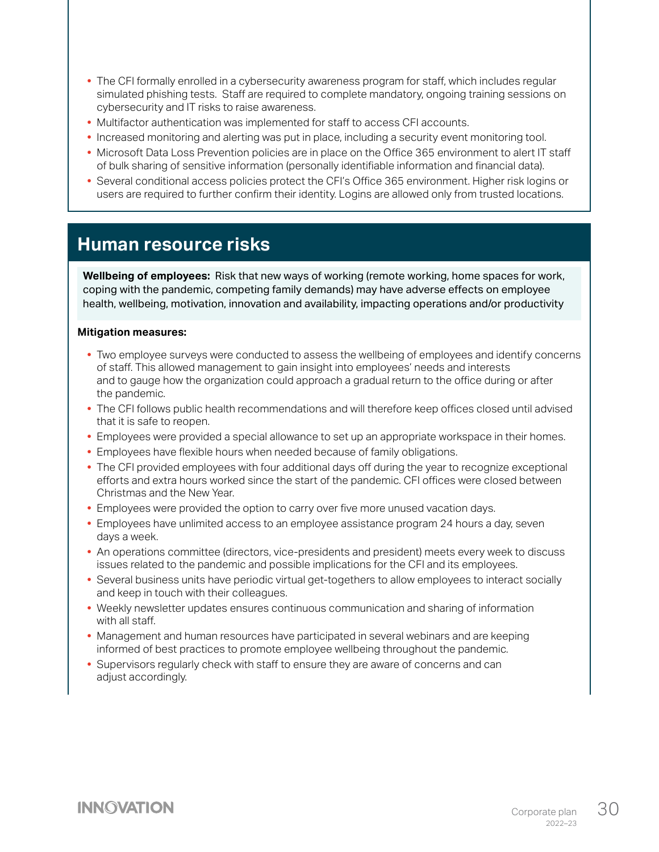- **•** The CFI formally enrolled in a cybersecurity awareness program for staff, which includes regular simulated phishing tests. Staff are required to complete mandatory, ongoing training sessions on cybersecurity and IT risks to raise awareness.
- **•** Multifactor authentication was implemented for staff to access CFI accounts.
- **•** Increased monitoring and alerting was put in place, including a security event monitoring tool.
- **•** Microsoft Data Loss Prevention policies are in place on the Office 365 environment to alert IT staff of bulk sharing of sensitive information (personally identifiable information and financial data).
- **•** Several conditional access policies protect the CFI's Office 365 environment. Higher risk logins or users are required to further confirm their identity. Logins are allowed only from trusted locations.

#### **Human resource risks**

**Wellbeing of employees:** Risk that new ways of working (remote working, home spaces for work, coping with the pandemic, competing family demands) may have adverse effects on employee health, wellbeing, motivation, innovation and availability, impacting operations and/or productivity

#### **Mitigation measures:**

- **•** Two employee surveys were conducted to assess the wellbeing of employees and identify concerns of staff. This allowed management to gain insight into employees' needs and interests and to gauge how the organization could approach a gradual return to the office during or after the pandemic.
- **•** The CFI follows public health recommendations and will therefore keep offices closed until advised that it is safe to reopen.
- **•** Employees were provided a special allowance to set up an appropriate workspace in their homes.
- **•** Employees have flexible hours when needed because of family obligations.
- **•** The CFI provided employees with four additional days off during the year to recognize exceptional efforts and extra hours worked since the start of the pandemic. CFI offices were closed between Christmas and the New Year.
- **•** Employees were provided the option to carry over five more unused vacation days.
- **•** Employees have unlimited access to an employee assistance program 24 hours a day, seven days a week.
- **•** An operations committee (directors, vice-presidents and president) meets every week to discuss issues related to the pandemic and possible implications for the CFI and its employees.
- **•** Several business units have periodic virtual get-togethers to allow employees to interact socially and keep in touch with their colleagues.
- **•** Weekly newsletter updates ensures continuous communication and sharing of information with all staff.
- **•** Management and human resources have participated in several webinars and are keeping informed of best practices to promote employee wellbeing throughout the pandemic.
- **•** Supervisors regularly check with staff to ensure they are aware of concerns and can adjust accordingly.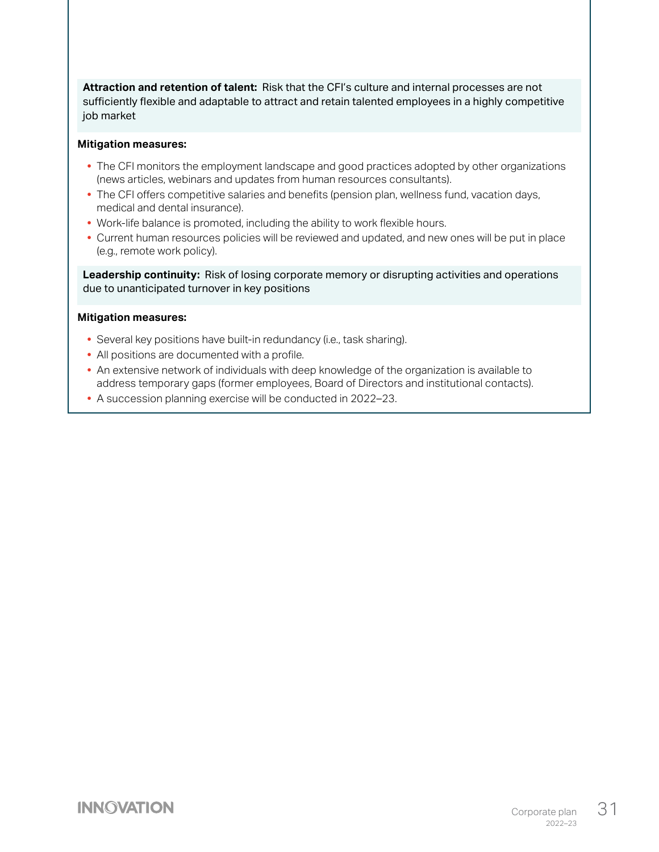**Attraction and retention of talent:** Risk that the CFI's culture and internal processes are not sufficiently flexible and adaptable to attract and retain talented employees in a highly competitive job market

#### **Mitigation measures:**

- **•** The CFI monitors the employment landscape and good practices adopted by other organizations (news articles, webinars and updates from human resources consultants).
- **•** The CFI offers competitive salaries and benefits (pension plan, wellness fund, vacation days, medical and dental insurance).
- **•** Work-life balance is promoted, including the ability to work flexible hours.
- **•** Current human resources policies will be reviewed and updated, and new ones will be put in place (e.g., remote work policy).

**Leadership continuity:** Risk of losing corporate memory or disrupting activities and operations due to unanticipated turnover in key positions

#### **Mitigation measures:**

- **•** Several key positions have built-in redundancy (i.e., task sharing).
- **•** All positions are documented with a profile.
- **•** An extensive network of individuals with deep knowledge of the organization is available to address temporary gaps (former employees, Board of Directors and institutional contacts).
- **•** A succession planning exercise will be conducted in 2022–23.